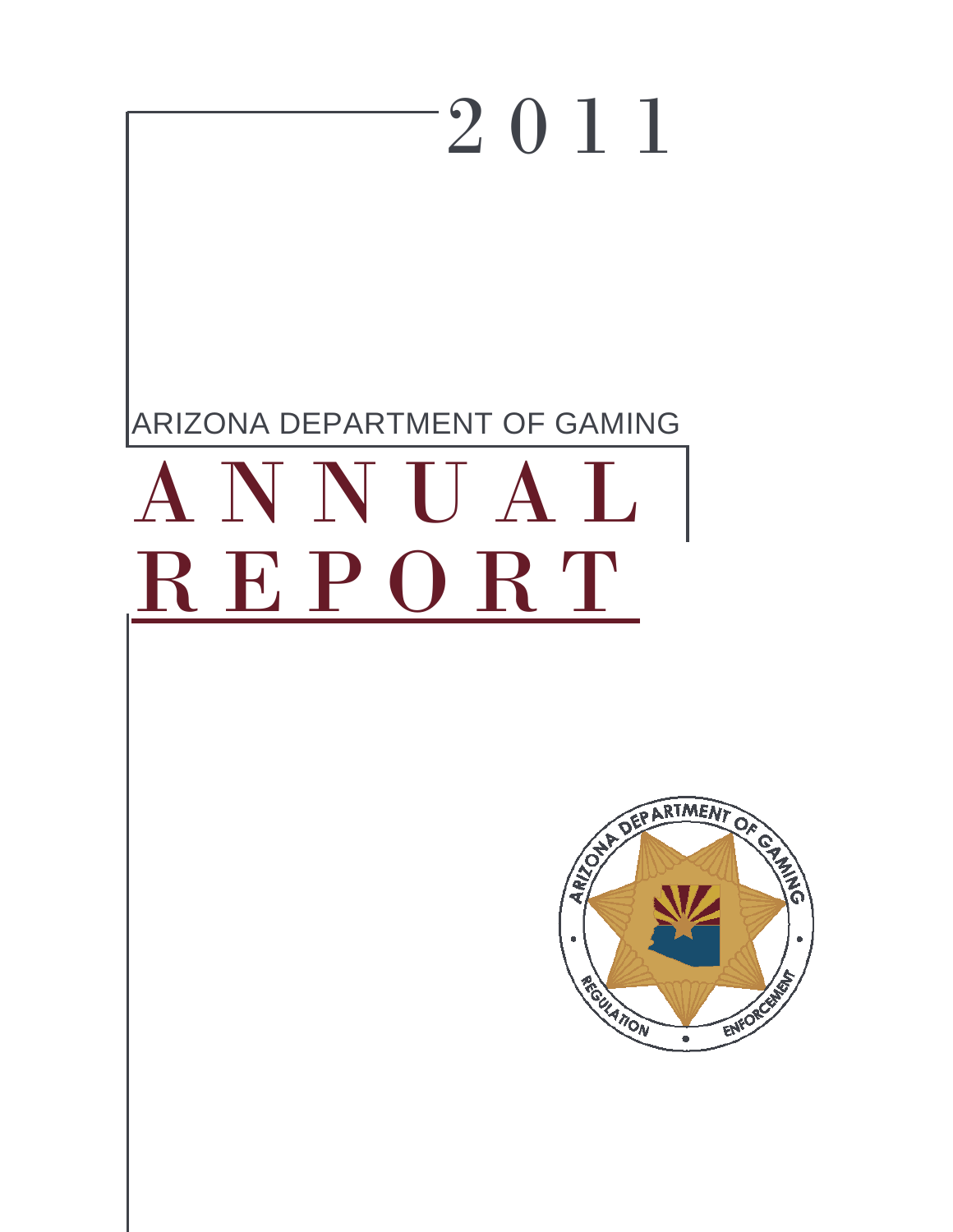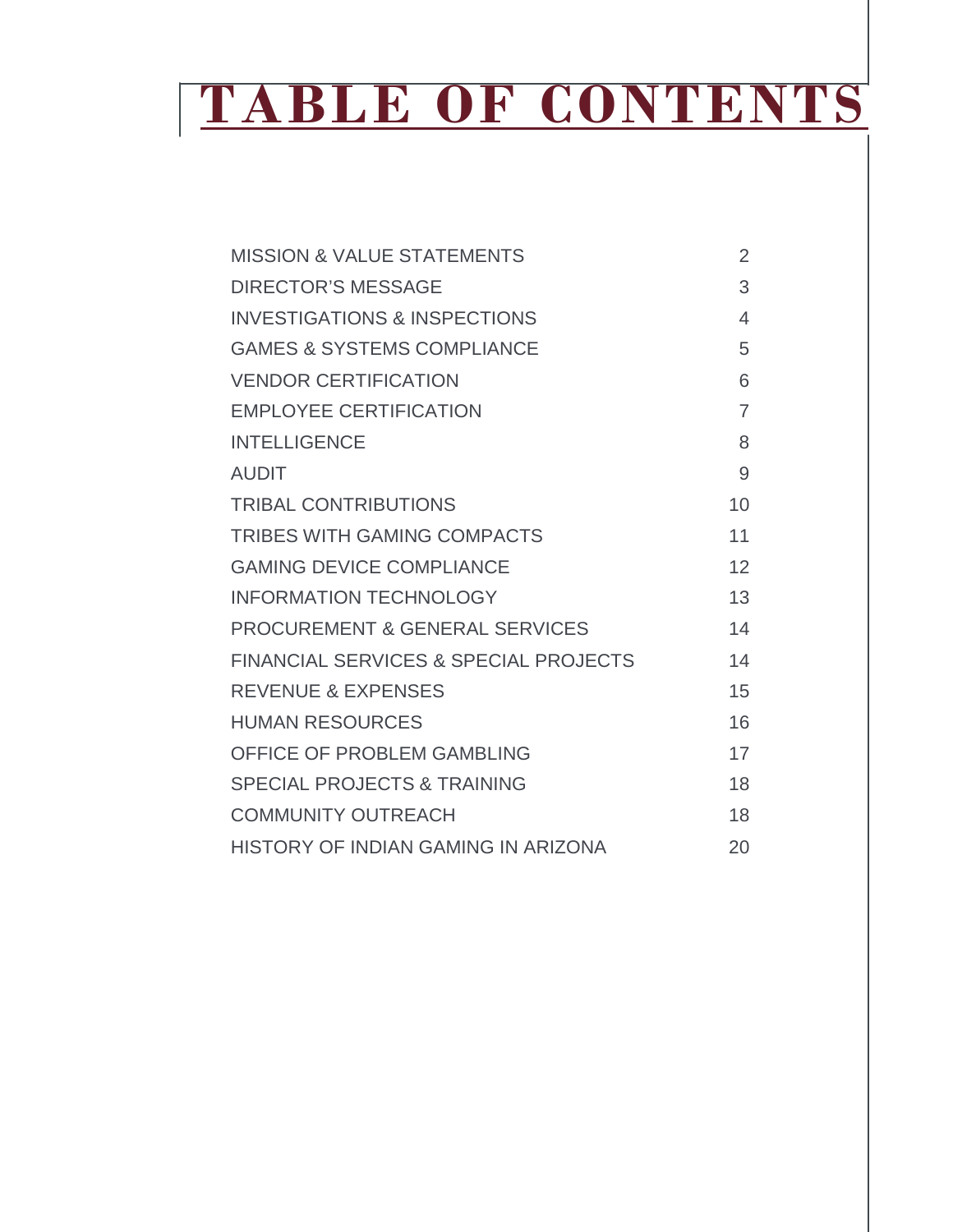# **TABLE OF CONTENTS**

| <b>MISSION &amp; VALUE STATEMENTS</b>            | $\overline{2}$ |
|--------------------------------------------------|----------------|
| <b>DIRECTOR'S MESSAGE</b>                        | 3              |
| <b>INVESTIGATIONS &amp; INSPECTIONS</b>          | 4              |
| <b>GAMES &amp; SYSTEMS COMPLIANCE</b>            | 5              |
| <b>VENDOR CERTIFICATION</b>                      | 6              |
| <b>EMPLOYEE CERTIFICATION</b>                    | $\overline{7}$ |
| <b>INTELLIGENCE</b>                              | 8              |
| <b>AUDIT</b>                                     | 9              |
| <b>TRIBAL CONTRIBUTIONS</b>                      | 10             |
| <b>TRIBES WITH GAMING COMPACTS</b>               | 11             |
| <b>GAMING DEVICE COMPLIANCE</b>                  | 12             |
| <b>INFORMATION TECHNOLOGY</b>                    | 13             |
| <b>PROCUREMENT &amp; GENERAL SERVICES</b>        | 14             |
| <b>FINANCIAL SERVICES &amp; SPECIAL PROJECTS</b> | 14             |
| <b>REVENUE &amp; EXPENSES</b>                    | 15             |
| <b>HUMAN RESOURCES</b>                           | 16             |
| <b>OFFICE OF PROBLEM GAMBLING</b>                | 17             |
| <b>SPECIAL PROJECTS &amp; TRAINING</b>           | 18             |
| <b>COMMUNITY OUTREACH</b>                        | 18             |
| HISTORY OF INDIAN GAMING IN ARIZONA              | 20             |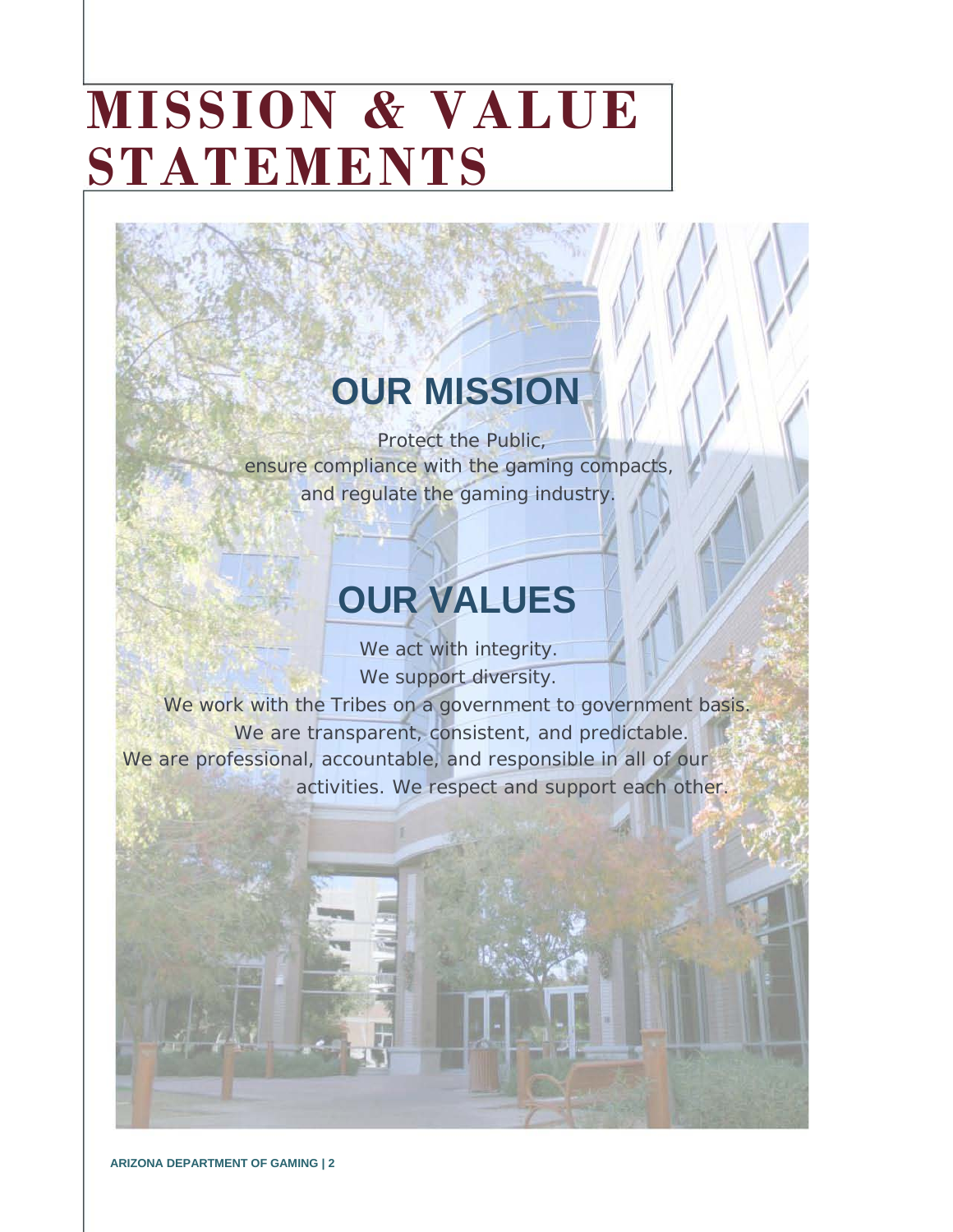# **MISSION & VALUE STATEMENTS**

### **OUR MISSION**

Protect the Public, ensure compliance with the gaming compacts, and regulate the gaming industry.

### **OUR VALUES**

We act with integrity. We support diversity.

We work with the Tribes on a government to government basis. We are transparent, consistent, and predictable. We are professional, accountable, and responsible in all of our activities. We respect and support each other.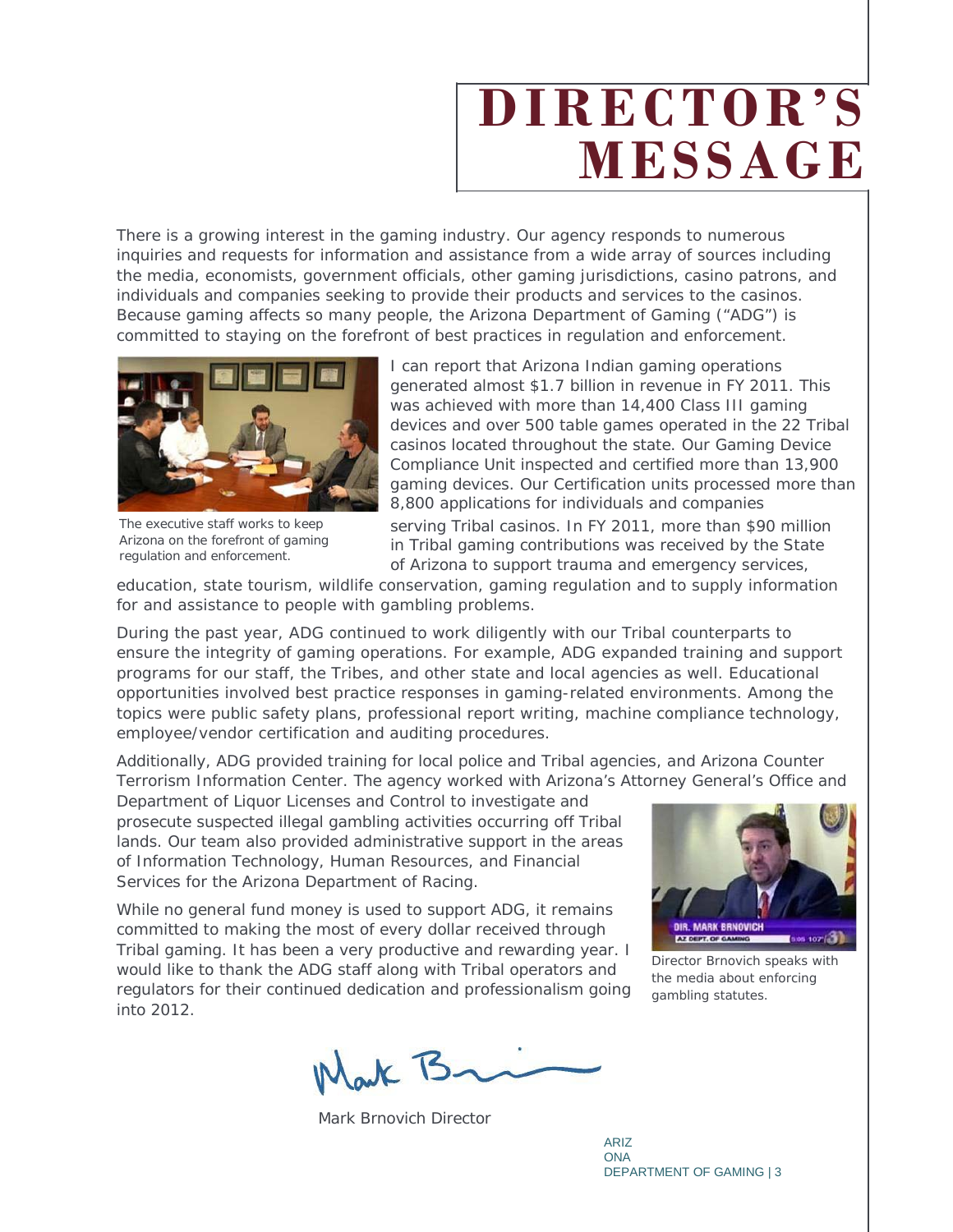## **DIRECTOR'S MESSAGE**

There is a growing interest in the gaming industry. Our agency responds to numerous inquiries and requests for information and assistance from a wide array of sources including the media, economists, government officials, other gaming jurisdictions, casino patrons, and individuals and companies seeking to provide their products and services to the casinos. Because gaming affects so many people, the Arizona Department of Gaming ("ADG") is committed to staying on the forefront of best practices in regulation and enforcement.



The executive staff works to keep Arizona on the forefront of gaming regulation and enforcement.

I can report that Arizona Indian gaming operations generated almost \$1.7 billion in revenue in FY 2011. This was achieved with more than 14,400 Class III gaming devices and over 500 table games operated in the 22 Tribal casinos located throughout the state. Our Gaming Device Compliance Unit inspected and certified more than 13,900 gaming devices. Our Certification units processed more than 8,800 applications for individuals and companies

serving Tribal casinos. In FY 2011, more than \$90 million in Tribal gaming contributions was received by the State of Arizona to support trauma and emergency services,

education, state tourism, wildlife conservation, gaming regulation and to supply information for and assistance to people with gambling problems.

During the past year, ADG continued to work diligently with our Tribal counterparts to ensure the integrity of gaming operations. For example, ADG expanded training and support programs for our staff, the Tribes, and other state and local agencies as well. Educational opportunities involved best practice responses in gaming-related environments. Among the topics were public safety plans, professional report writing, machine compliance technology, employee/vendor certification and auditing procedures.

Additionally, ADG provided training for local police and Tribal agencies, and Arizona Counter Terrorism Information Center. The agency worked with Arizona's Attorney General's Office and

Department of Liquor Licenses and Control to investigate and prosecute suspected illegal gambling activities occurring off Tribal lands. Our team also provided administrative support in the areas of Information Technology, Human Resources, and Financial Services for the Arizona Department of Racing.

While no general fund money is used to support ADG, it remains committed to making the most of every dollar received through Tribal gaming. It has been a very productive and rewarding year. I would like to thank the ADG staff along with Tribal operators and regulators for their continued dedication and professionalism going into 2012.



Director Brnovich speaks with the media about enforcing gambling statutes.

Nark B

Mark Brnovich Director

ARIZ ONA DEPARTMENT OF GAMING | 3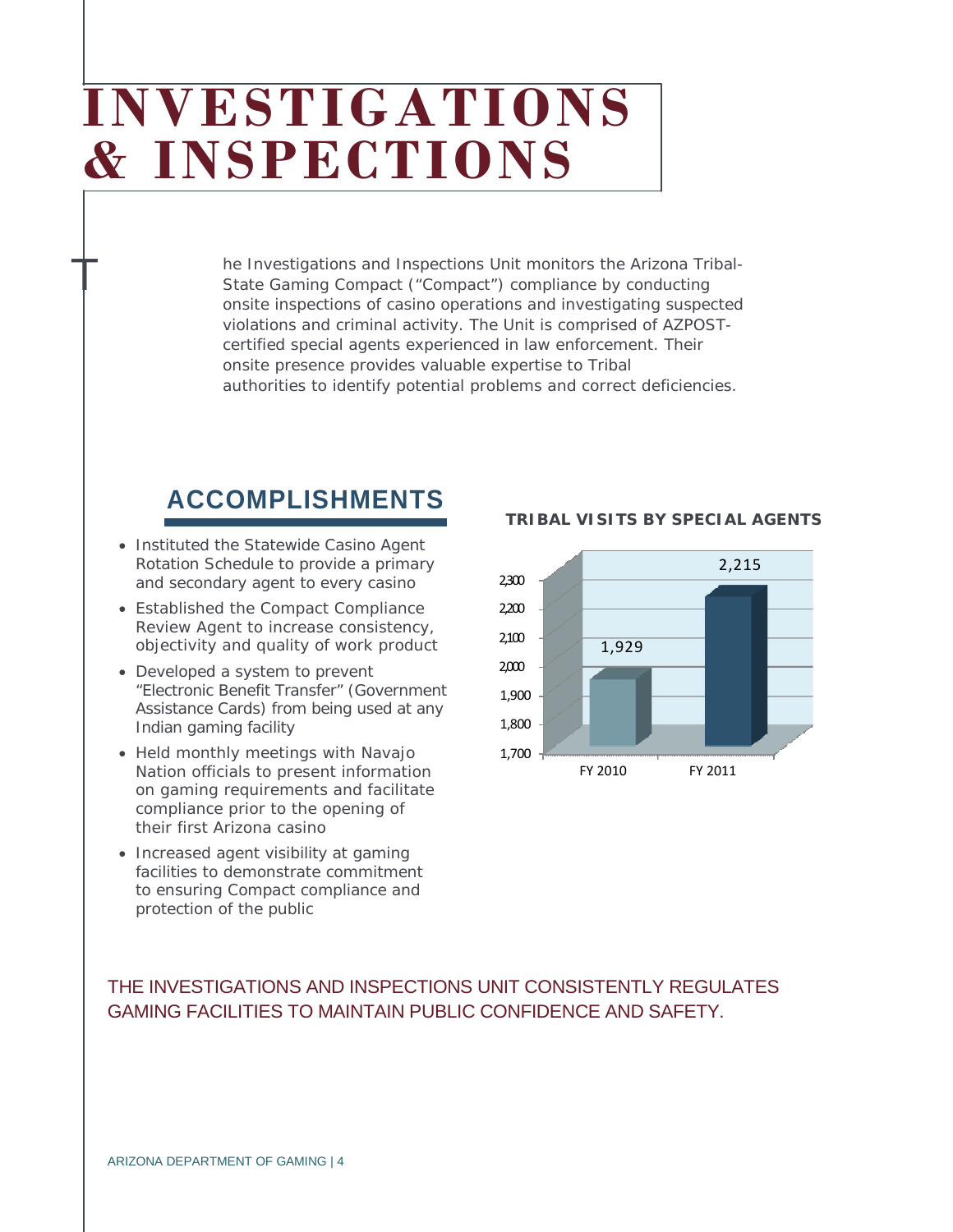## **INVESTIGATIONS & INSPECTIONS**

he Investigations and Inspections Unit monitors the Arizona Tribal-State Gaming Compact ("Compact") compliance by conducting onsite inspections of casino operations and investigating suspected violations and criminal activity. The Unit is comprised of AZPOSTcertified special agents experienced in law enforcement. Their onsite presence provides valuable expertise to Tribal authorities to identify potential problems and correct deficiencies.

### **ACCOMPLISHMENTS**

• Instituted the Statewide Casino Agent Rotation Schedule to provide a primary and secondary agent to every casino

T

- Established the Compact Compliance Review Agent to increase consistency, objectivity and quality of work product
- Developed a system to prevent "Electronic Benefit Transfer" (Government Assistance Cards) from being used at any Indian gaming facility
- Held monthly meetings with Navajo Nation officials to present information on gaming requirements and facilitate compliance prior to the opening of their first Arizona casino
- Increased agent visibility at gaming facilities to demonstrate commitment to ensuring Compact compliance and protection of the public



### **TRIBAL VISITS BY SPECIAL AGENTS**

### THE INVESTIGATIONS AND INSPECTIONS UNIT CONSISTENTLY REGULATES GAMING FACILITIES TO MAINTAIN PUBLIC CONFIDENCE AND SAFETY.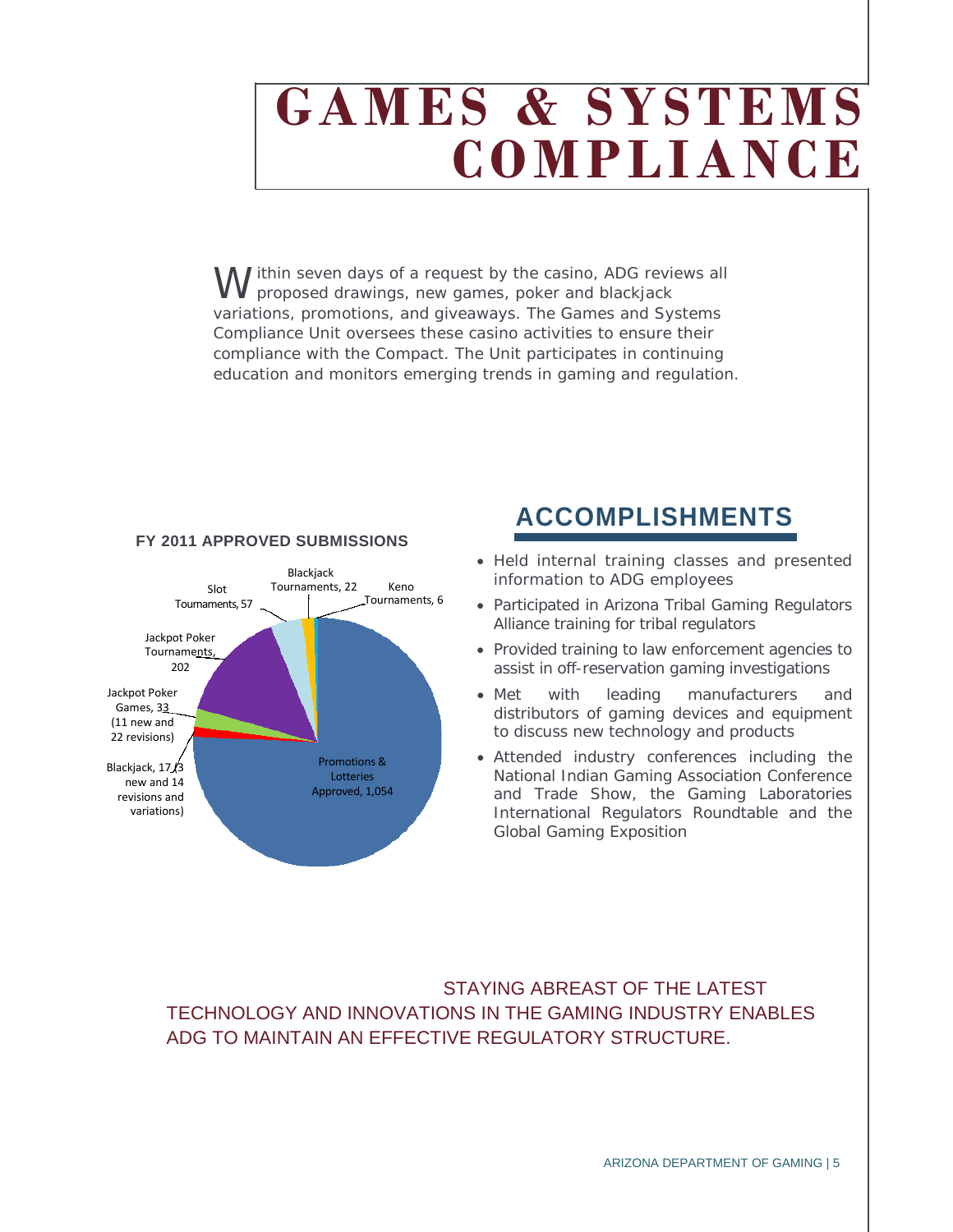## **GAMES & SYSTEMS COMPLIANCE**

I ithin seven days of a request by the casino, ADG reviews all proposed drawings, new games, poker and blackjack variations, promotions, and giveaways. The Games and Systems Compliance Unit oversees these casino activities to ensure their compliance with the Compact. The Unit participates in continuing education and monitors emerging trends in gaming and regulation. W



### **FY 2011 APPROVED SUBMISSIONS**

### **ACCOMPLISHMENTS**

- Held internal training classes and presented information to ADG employees
- Participated in Arizona Tribal Gaming Regulators Alliance training for tribal regulators
- Provided training to law enforcement agencies to assist in off-reservation gaming investigations
- Met with leading manufacturers and distributors of gaming devices and equipment to discuss new technology and products
- Attended industry conferences including the National Indian Gaming Association Conference and Trade Show, the Gaming Laboratories International Regulators Roundtable and the Global Gaming Exposition

STAYING ABREAST OF THE LATEST TECHNOLOGY AND INNOVATIONS IN THE GAMING INDUSTRY ENABLES ADG TO MAINTAIN AN EFFECTIVE REGULATORY STRUCTURE.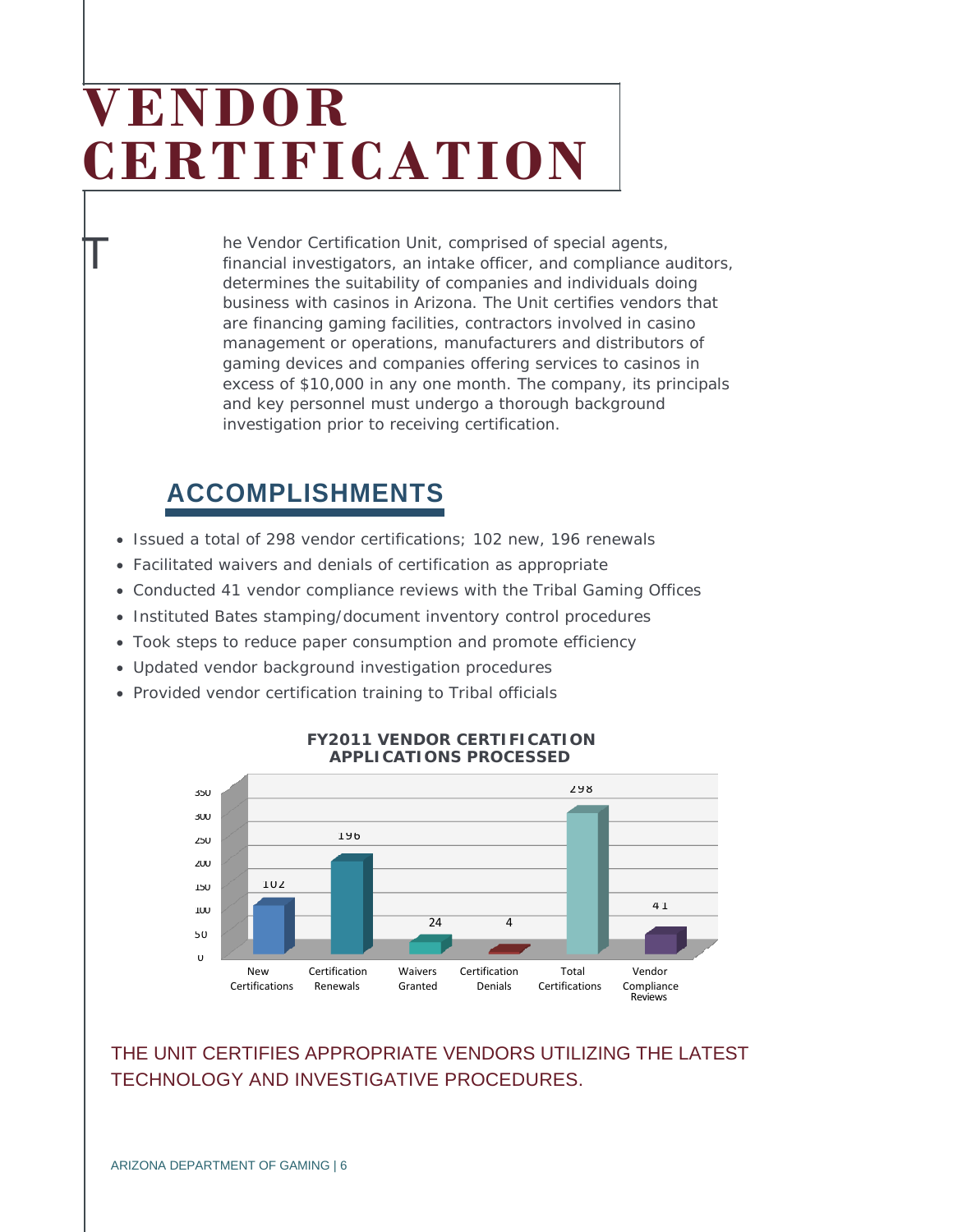## **VENDOR CERTIFICATION**

he Vendor Certification Unit, comprised of special agents, financial investigators, an intake officer, and compliance auditors, determines the suitability of companies and individuals doing business with casinos in Arizona. The Unit certifies vendors that are financing gaming facilities, contractors involved in casino management or operations, manufacturers and distributors of gaming devices and companies offering services to casinos in excess of \$10,000 in any one month. The company, its principals and key personnel must undergo a thorough background investigation prior to receiving certification.

### **ACCOMPLISHMENTS**

T

- Issued a total of 298 vendor certifications; 102 new, 196 renewals
- Facilitated waivers and denials of certification as appropriate
- Conducted 41 vendor compliance reviews with the Tribal Gaming Offices
- Instituted Bates stamping/document inventory control procedures
- Took steps to reduce paper consumption and promote efficiency
- Updated vendor background investigation procedures
- Provided vendor certification training to Tribal officials



#### **FY2011 VENDOR CERTIFICATION APPLICATIONS PROCESSED**

### THE UNIT CERTIFIES APPROPRIATE VENDORS UTILIZING THE LATEST TECHNOLOGY AND INVESTIGATIVE PROCEDURES.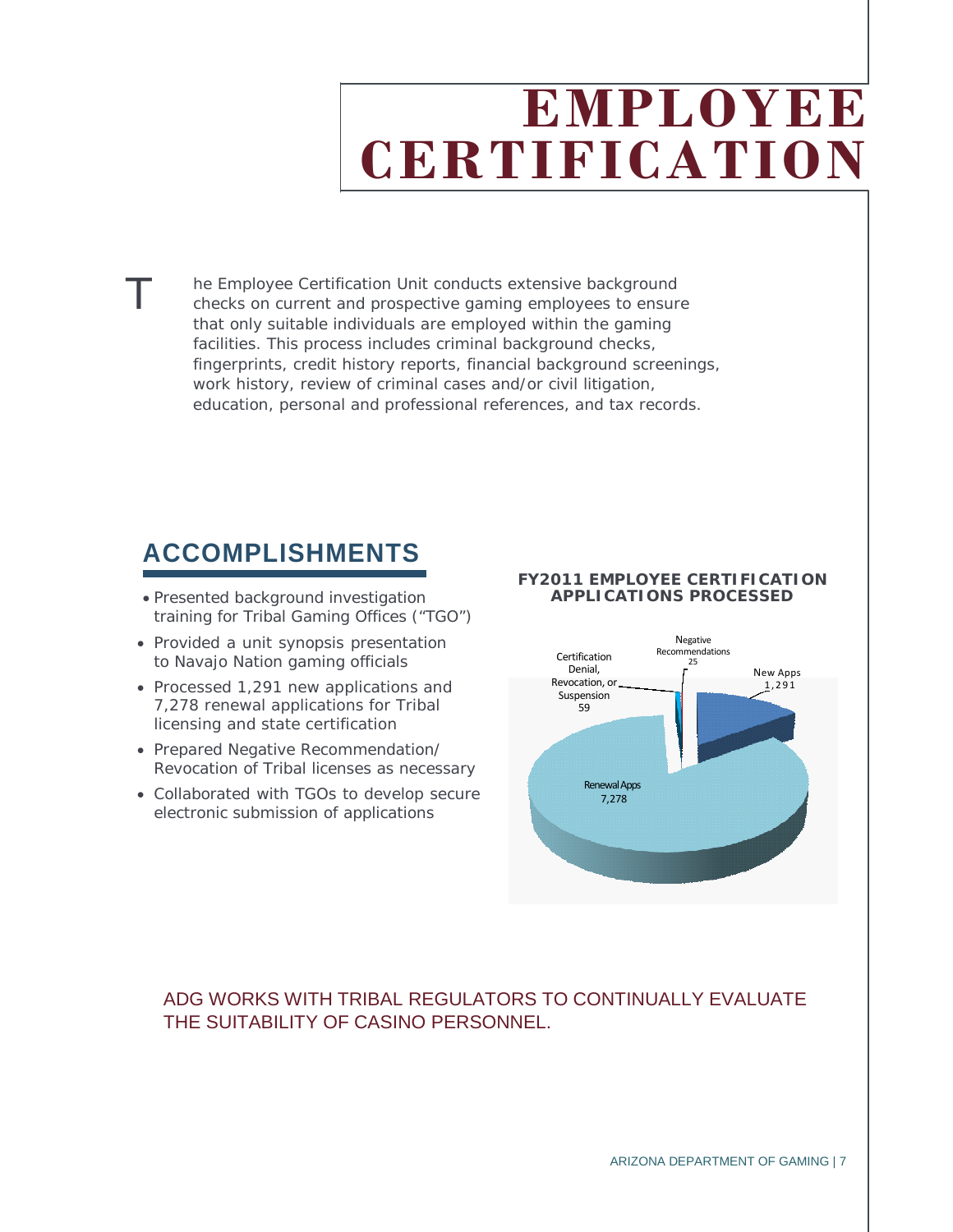## **EMPLOYEE CERTIFICATION**

he Employee Certification Unit conducts extensive background checks on current and prospective gaming employees to ensure that only suitable individuals are employed within the gaming facilities. This process includes criminal background checks, fingerprints, credit history reports, financial background screenings, work history, review of criminal cases and/or civil litigation, education, personal and professional references, and tax records.

### **ACCOMPLISHMENTS**

T

- Presented background investigation training for Tribal Gaming Offices ("TGO")
- Provided a unit synopsis presentation to Navajo Nation gaming officials
- Processed 1,291 new applications and 7,278 renewal applications for Tribal licensing and state certification
- Prepared Negative Recommendation/ Revocation of Tribal licenses as necessary
- Collaborated with TGOs to develop secure electronic submission of applications

#### **FY2011 EMPLOYEE CERTIFICATION APPLICATIONS PROCESSED**



### ADG WORKS WITH TRIBAL REGULATORS TO CONTINUALLY EVALUATE THE SUITABILITY OF CASINO PERSONNEL.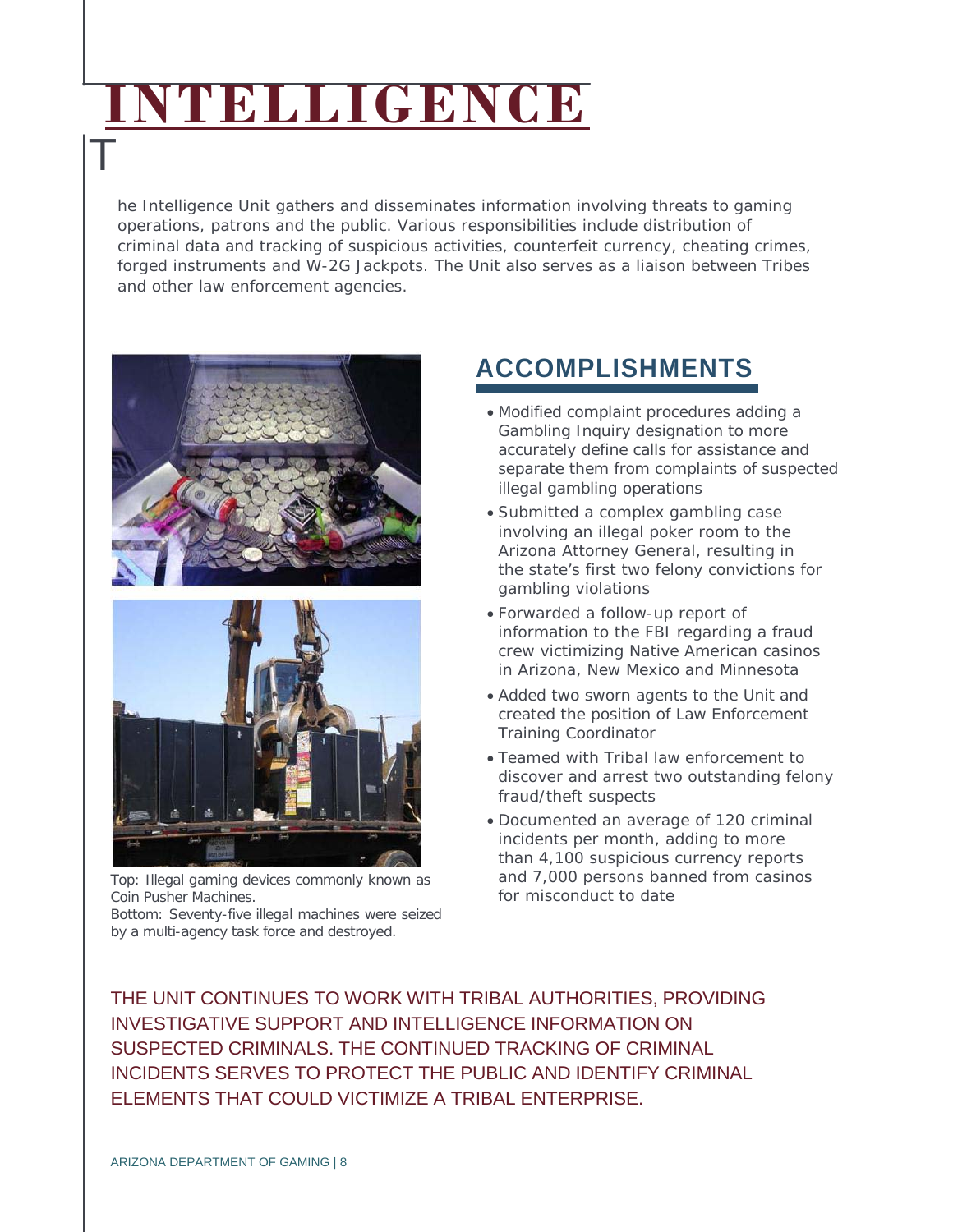# **INTELLIGENCE**

he Intelligence Unit gathers and disseminates information involving threats to gaming operations, patrons and the public. Various responsibilities include distribution of criminal data and tracking of suspicious activities, counterfeit currency, cheating crimes, forged instruments and W-2G Jackpots. The Unit also serves as a liaison between Tribes and other law enforcement agencies.



T



Top: Illegal gaming devices commonly known as Coin Pusher Machines.

Bottom: Seventy-five illegal machines were seized by a multi-agency task force and destroyed.

### **ACCOMPLISHMENTS**

- Modified complaint procedures adding a Gambling Inquiry designation to more accurately define calls for assistance and separate them from complaints of suspected illegal gambling operations
- Submitted a complex gambling case involving an illegal poker room to the Arizona Attorney General, resulting in the state's first two felony convictions for gambling violations
- Forwarded a follow-up report of information to the FBI regarding a fraud crew victimizing Native American casinos in Arizona, New Mexico and Minnesota
- Added two sworn agents to the Unit and created the position of Law Enforcement Training Coordinator
- Teamed with Tribal law enforcement to discover and arrest two outstanding felony fraud/theft suspects
- Documented an average of 120 criminal incidents per month, adding to more than 4,100 suspicious currency reports and 7,000 persons banned from casinos for misconduct to date

THE UNIT CONTINUES TO WORK WITH TRIBAL AUTHORITIES, PROVIDING INVESTIGATIVE SUPPORT AND INTELLIGENCE INFORMATION ON SUSPECTED CRIMINALS. THE CONTINUED TRACKING OF CRIMINAL INCIDENTS SERVES TO PROTECT THE PUBLIC AND IDENTIFY CRIMINAL ELEMENTS THAT COULD VICTIMIZE A TRIBAL ENTERPRISE.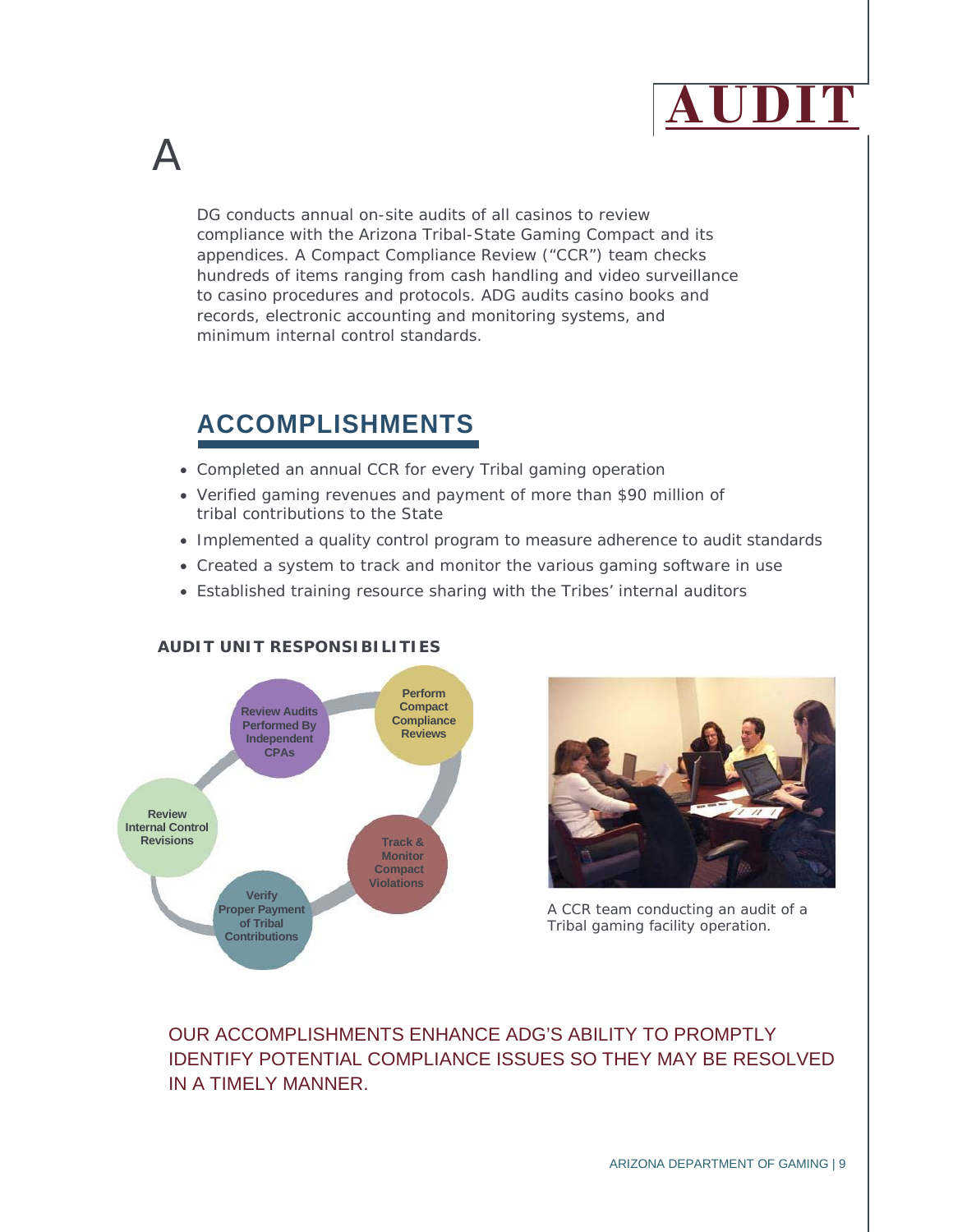

DG conducts annual on-site audits of all casinos to review compliance with the Arizona Tribal-State Gaming Compact and its appendices. A Compact Compliance Review ("CCR") team checks hundreds of items ranging from cash handling and video surveillance to casino procedures and protocols. ADG audits casino books and records, electronic accounting and monitoring systems, and minimum internal control standards.

### **ACCOMPLISHMENTS**

A

- Completed an annual CCR for every Tribal gaming operation
- Verified gaming revenues and payment of more than \$90 million of tribal contributions to the State
- Implemented a quality control program to measure adherence to audit standards
- Created a system to track and monitor the various gaming software in use
- Established training resource sharing with the Tribes' internal auditors



#### **AUDIT UNIT RESPONSIBILITIES**



A CCR team conducting an audit of a Tribal gaming facility operation.

### OUR ACCOMPLISHMENTS ENHANCE ADG'S ABILITY TO PROMPTLY IDENTIFY POTENTIAL COMPLIANCE ISSUES SO THEY MAY BE RESOLVED IN A TIMELY MANNER.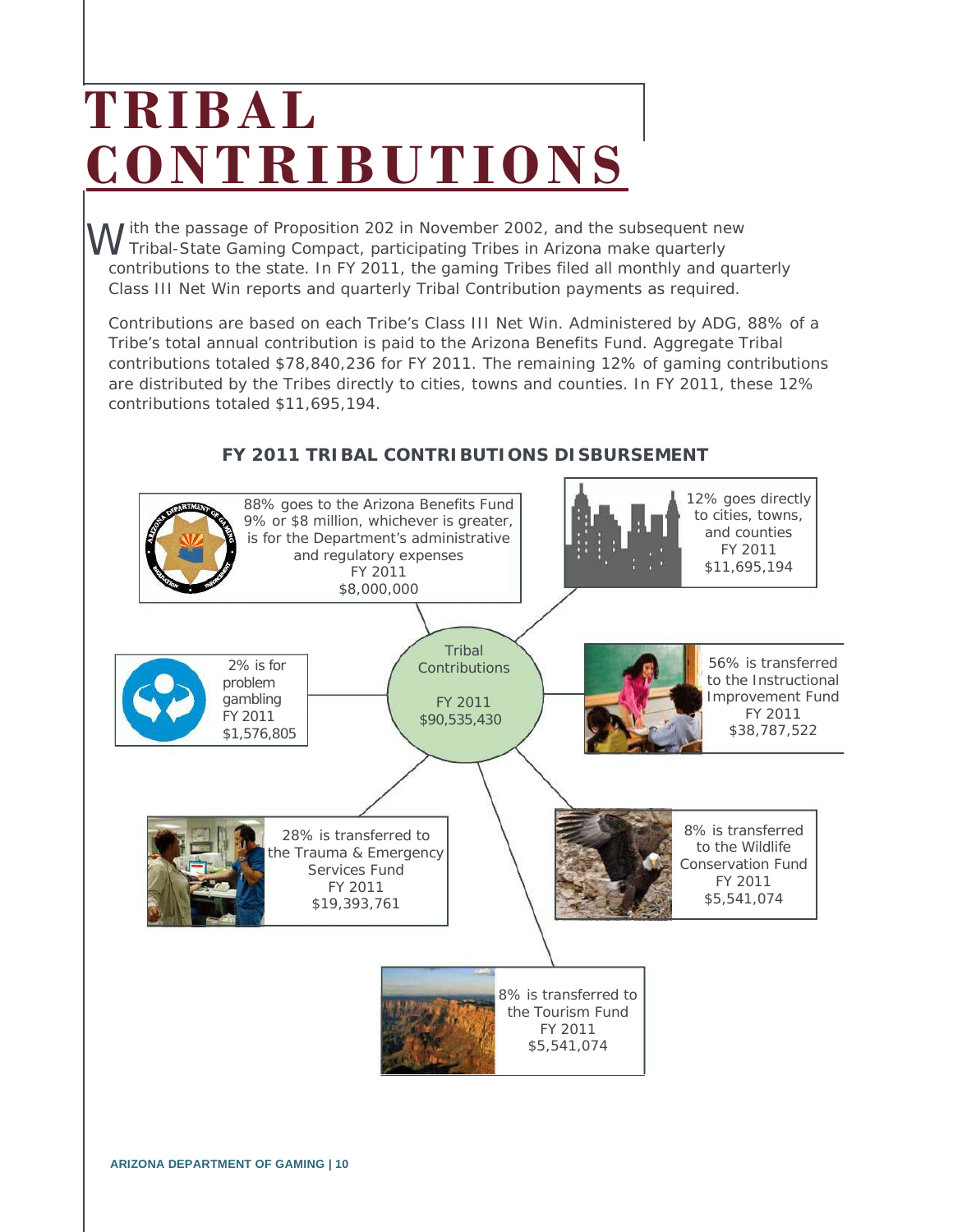# **TRIBAL CONTRIBUTIONS**

ith the passage of Proposition 202 in November 2002, and the subsequent new W ith the passage of Proposition 202 in November 2002, and the subsequent ne<br>W Tribal-State Gaming Compact, participating Tribes in Arizona make quarterly contributions to the state. In FY 2011, the gaming Tribes filed all monthly and quarterly Class III Net Win reports and quarterly Tribal Contribution payments as required.

Contributions are based on each Tribe's Class III Net Win. Administered by ADG, 88% of a Tribe's total annual contribution is paid to the Arizona Benefits Fund. Aggregate Tribal contributions totaled \$78,840,236 for FY 2011. The remaining 12% of gaming contributions are distributed by the Tribes directly to cities, towns and counties. In FY 2011, these 12% contributions totaled \$11,695,194.



### **FY 2011 TRIBAL CONTRIBUTIONS DISBURSEMENT**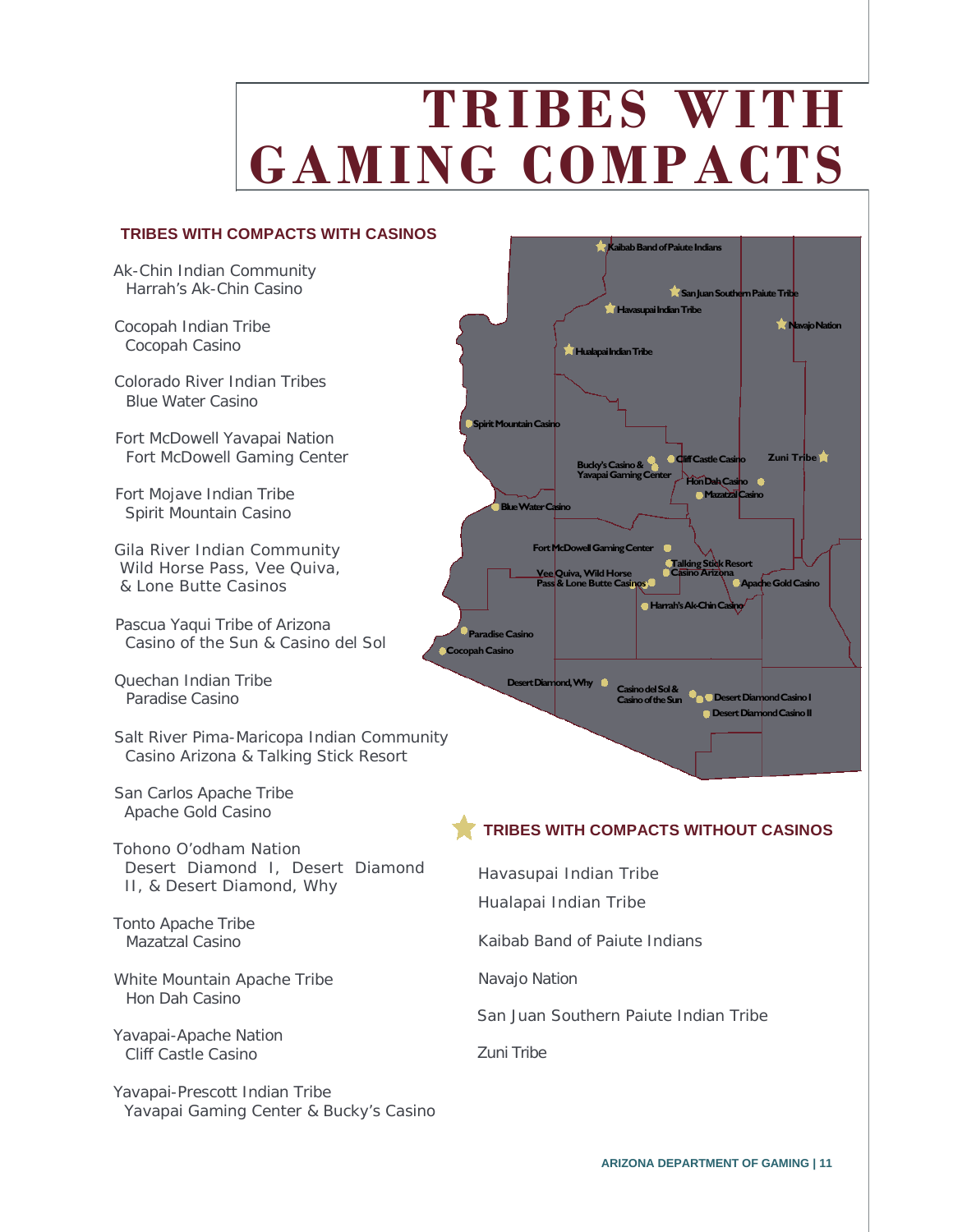# **TRIBES WITH GAMING COMPACTS**

#### **TRIBES WITH COMPACTS WITH CASINOS**

Ak-Chin Indian Community Harrah's Ak-Chin Casino

Cocopah Indian Tribe Cocopah Casino

Colorado River Indian Tribes Blue Water Casino

Fort McDowell Yavapai Nation Fort McDowell Gaming Center

Fort Mojave Indian Tribe Spirit Mountain Casino

Gila River Indian Community Wild Horse Pass, Vee Quiva, & Lone Butte Casinos

Pascua Yaqui Tribe of Arizona Casino of the Sun & Casino del Sol

Quechan Indian Tribe Paradise Casino

Salt River Pima-Maricopa Indian Community Casino Arizona & Talking Stick Resort

San Carlos Apache Tribe Apache Gold Casino

Tohono O'odham Nation Desert Diamond I, Desert Diamond II, & Desert Diamond, Why

Tonto Apache Tribe Mazatzal Casino

White Mountain Apache Tribe Hon Dah Casino

Yavapai-Apache Nation Cliff Castle Casino

Yavapai-Prescott Indian Tribe Yavapai Gaming Center & Bucky's Casino



### **TRIBES WITH COMPACTS WITHOUT CASINOS**

Havasupai Indian Tribe

Hualapai Indian Tribe

Kaibab Band of Paiute Indians

Navajo Nation

San Juan Southern Paiute Indian Tribe

Zuni Tribe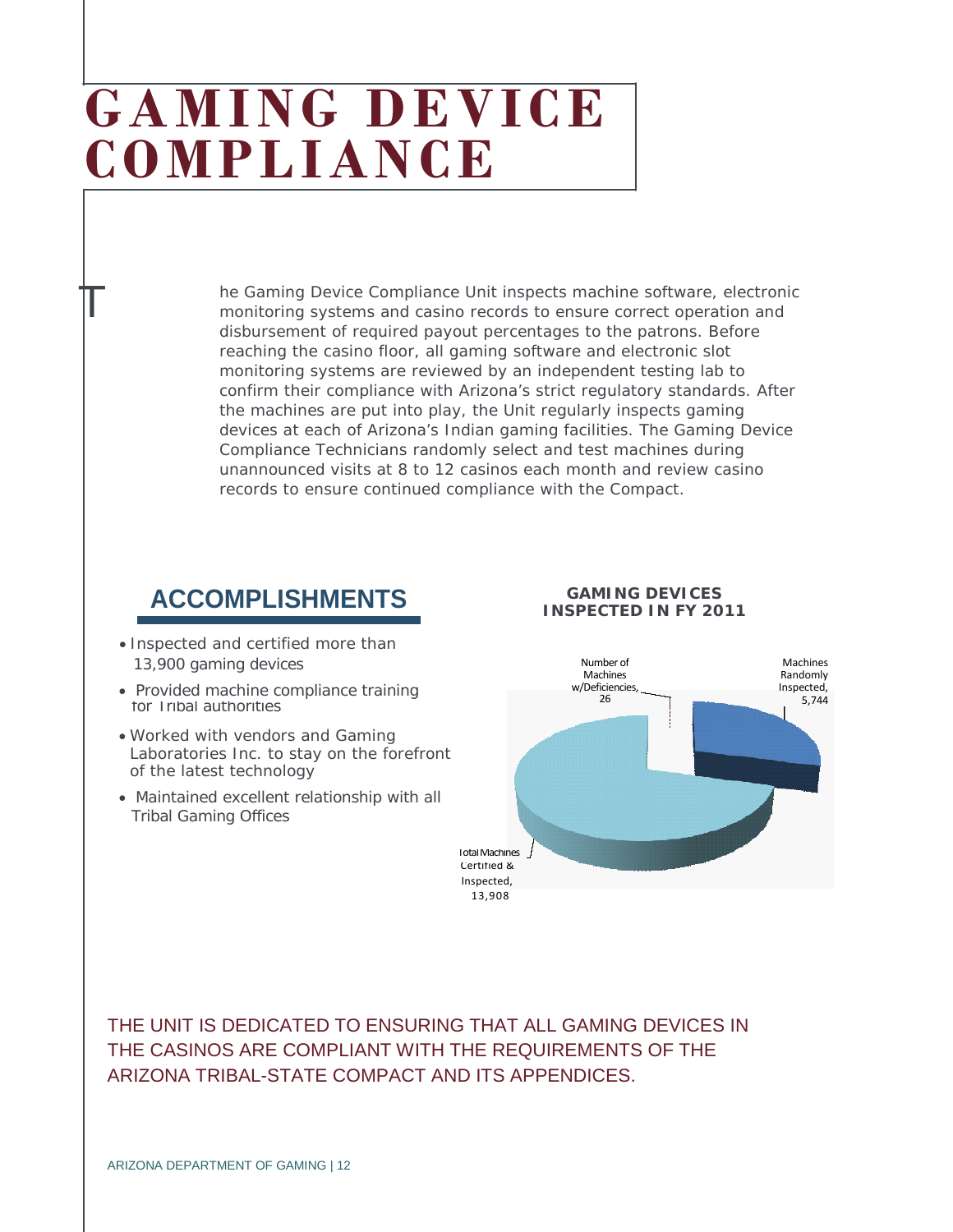## **GAMING DEVICE COMPLIANCE**

he Gaming Device Compliance Unit inspects machine software, electronic monitoring systems and casino records to ensure correct operation and disbursement of required payout percentages to the patrons. Before reaching the casino floor, all gaming software and electronic slot monitoring systems are reviewed by an independent testing lab to confirm their compliance with Arizona's strict regulatory standards. After the machines are put into play, the Unit regularly inspects gaming devices at each of Arizona's Indian gaming facilities. The Gaming Device Compliance Technicians randomly select and test machines during unannounced visits at 8 to 12 casinos each month and review casino records to ensure continued compliance with the Compact.

### **ACCOMPLISHMENTS GAMING DEVICES**

13,900 gaming devices • Inspected and certified more than

 $\mathbb T$ 

- Provided machine compliance training for Tribal authorities
- Worked with vendors and Gaming Laboratories Inc. to stay on the forefront of the latest technology
- Maintained excellent relationship with all Tribal Gaming Offices

### **INSPECTED IN FY 2011**



THE UNIT IS DEDICATED TO ENSURING THAT ALL GAMING DEVICES IN THE CASINOS ARE COMPLIANT WITH THE REQUIREMENTS OF THE ARIZONA TRIBAL-STATE COMPACT AND ITS APPENDICES.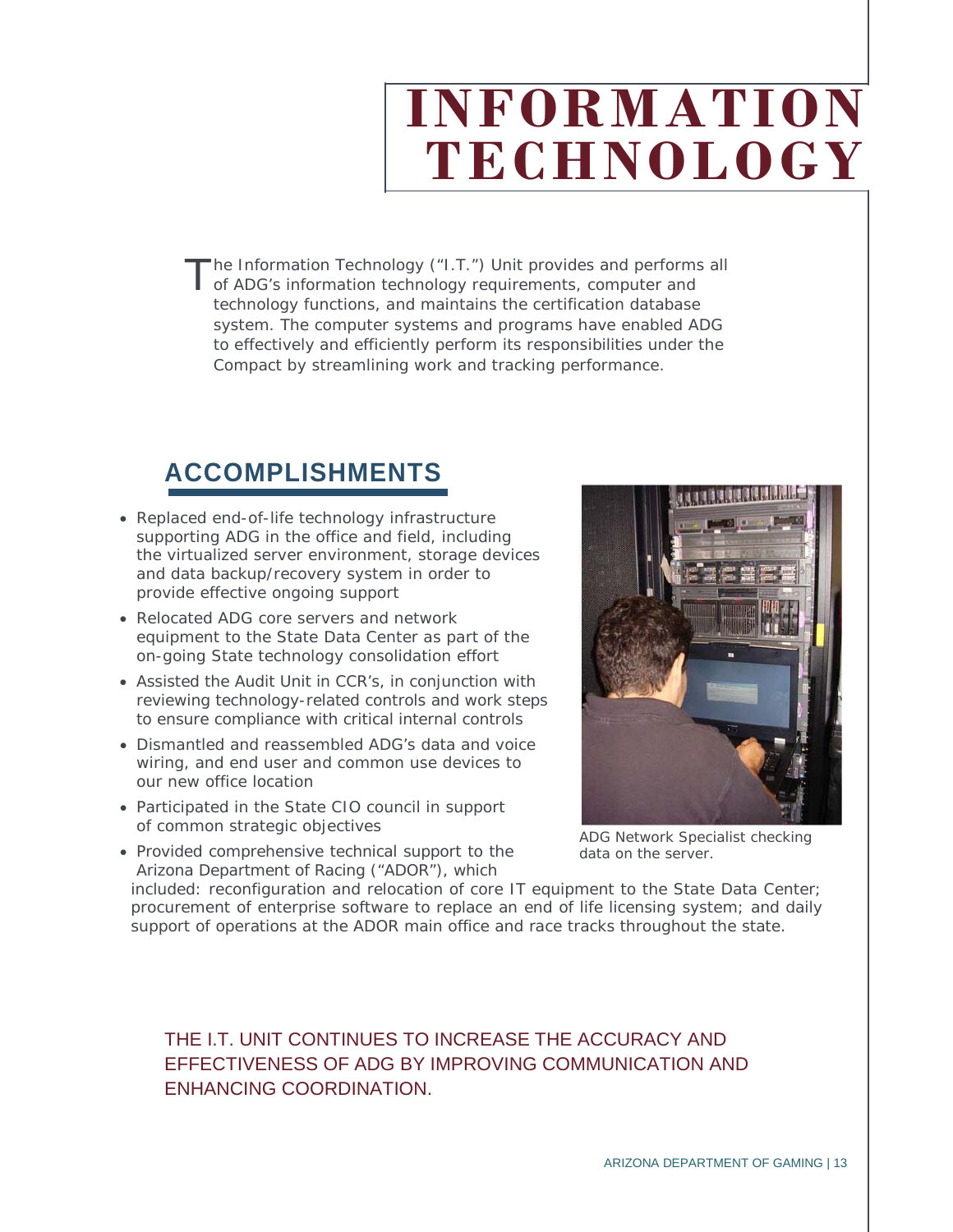# **INFORMATION TECHNOLOGY**

he Information Technology ("I.T.") Unit provides and performs all The Information Technology ("I.T.") Unit provides and performs<br>of ADG's information technology requirements, computer and technology functions, and maintains the certification database system. The computer systems and programs have enabled ADG to effectively and efficiently perform its responsibilities under the Compact by streamlining work and tracking performance.

### **ACCOMPLISHMENTS**

- Replaced end-of-life technology infrastructure supporting ADG in the office and field, including the virtualized server environment, storage devices and data backup/recovery system in order to provide effective ongoing support
- Relocated ADG core servers and network equipment to the State Data Center as part of the on-going State technology consolidation effort
- Assisted the Audit Unit in CCR's, in conjunction with reviewing technology-related controls and work steps to ensure compliance with critical internal controls
- Dismantled and reassembled ADG's data and voice wiring, and end user and common use devices to our new office location
- Participated in the State CIO council in support of common strategic objectives
- Provided comprehensive technical support to the Arizona Department of Racing ("ADOR"), which



ADG Network Specialist checking data on the server.

included: reconfiguration and relocation of core IT equipment to the State Data Center; procurement of enterprise software to replace an end of life licensing system; and daily support of operations at the ADOR main office and race tracks throughout the state.

### THE I.T. UNIT CONTINUES TO INCREASE THE ACCURACY AND EFFECTIVENESS OF ADG BY IMPROVING COMMUNICATION AND ENHANCING COORDINATION.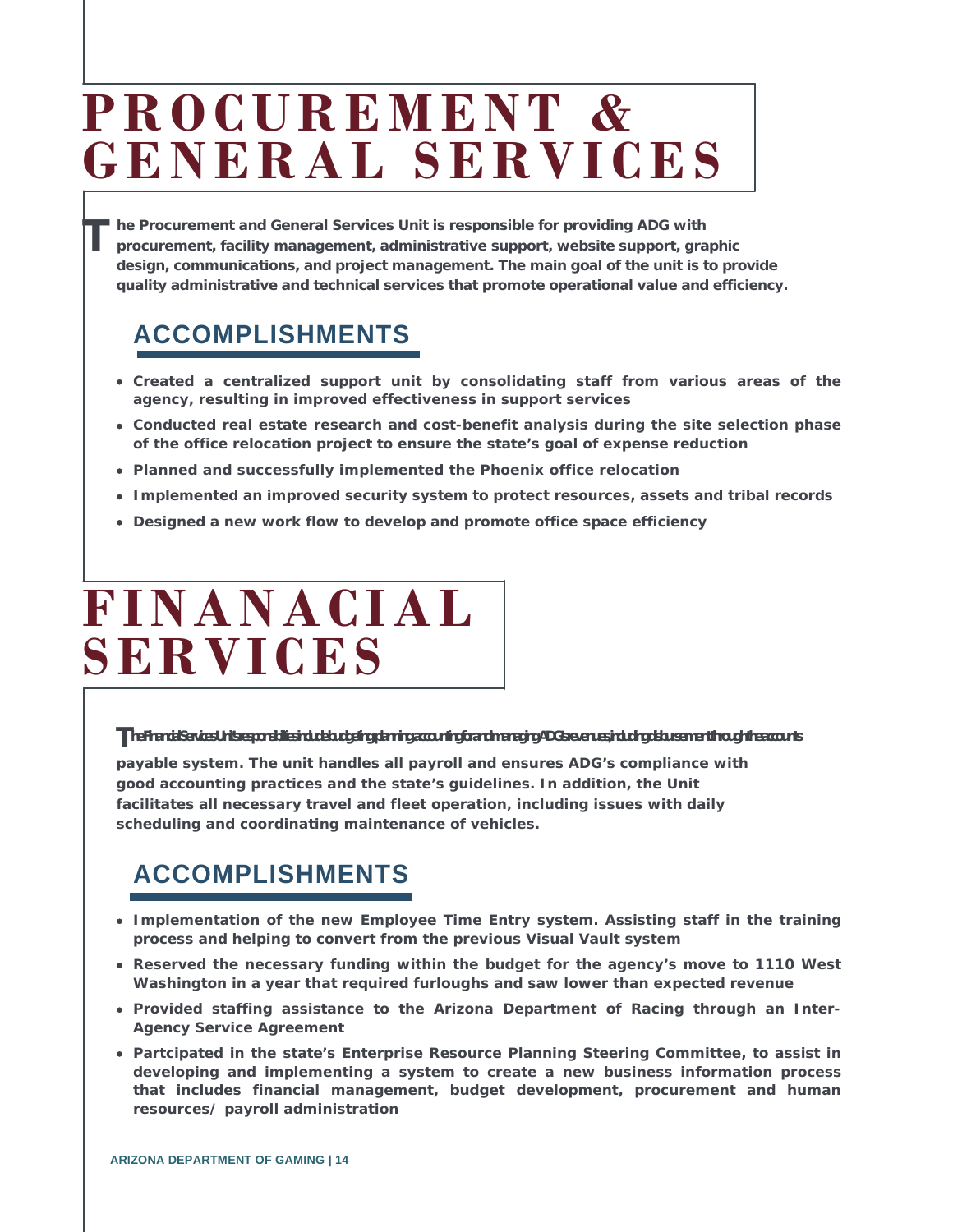## **PROCUREMENT & GENERAL SERVICES**

**he Procurement and General Services Unit is responsible for providing ADG with procurement, facility management, administrative support, website support, graphic design, communications, and project management. The main goal of the unit is to provide quality administrative and technical services that promote operational value and efficiency. T**

### **ACCOMPLISHMENTS**

- **Created a centralized support unit by consolidating staff from various areas of the agency, resulting in improved effectiveness in support services**
- **Conducted real estate research and cost-benefit analysis during the site selection phase of the office relocation project to ensure the state's goal of expense reduction**
- **Planned and successfully implemented the Phoenix office relocation**
- **Implemented an improved security system to protect resources, assets and tribal records**
- **Designed a new work flow to develop and promote office space efficiency**

## **FINANACIAL SERVICES**

#### **The Financial Services Unit's responsibilities include budgeting, planning, accountingforand managing ADG's revenues, including disbursement through the accounts**

**payable system. The unit handles all payroll and ensures ADG's compliance with good accounting practices and the state's guidelines. In addition, the Unit facilitates all necessary travel and fleet operation, including issues with daily scheduling and coordinating maintenance of vehicles.**

### **ACCOMPLISHMENTS**

- **Implementation of the new Employee Time Entry system. Assisting staff in the training process and helping to convert from the previous Visual Vault system**
- **Reserved the necessary funding within the budget for the agency's move to 1110 West Washington in a year that required furloughs and saw lower than expected revenue**
- **Provided staffing assistance to the Arizona Department of Racing through an Inter-Agency Service Agreement**
- **Partcipated in the state's Enterprise Resource Planning Steering Committee, to assist in developing and implementing a system to create a new business information process that includes financial management, budget development, procurement and human resources/ payroll administration**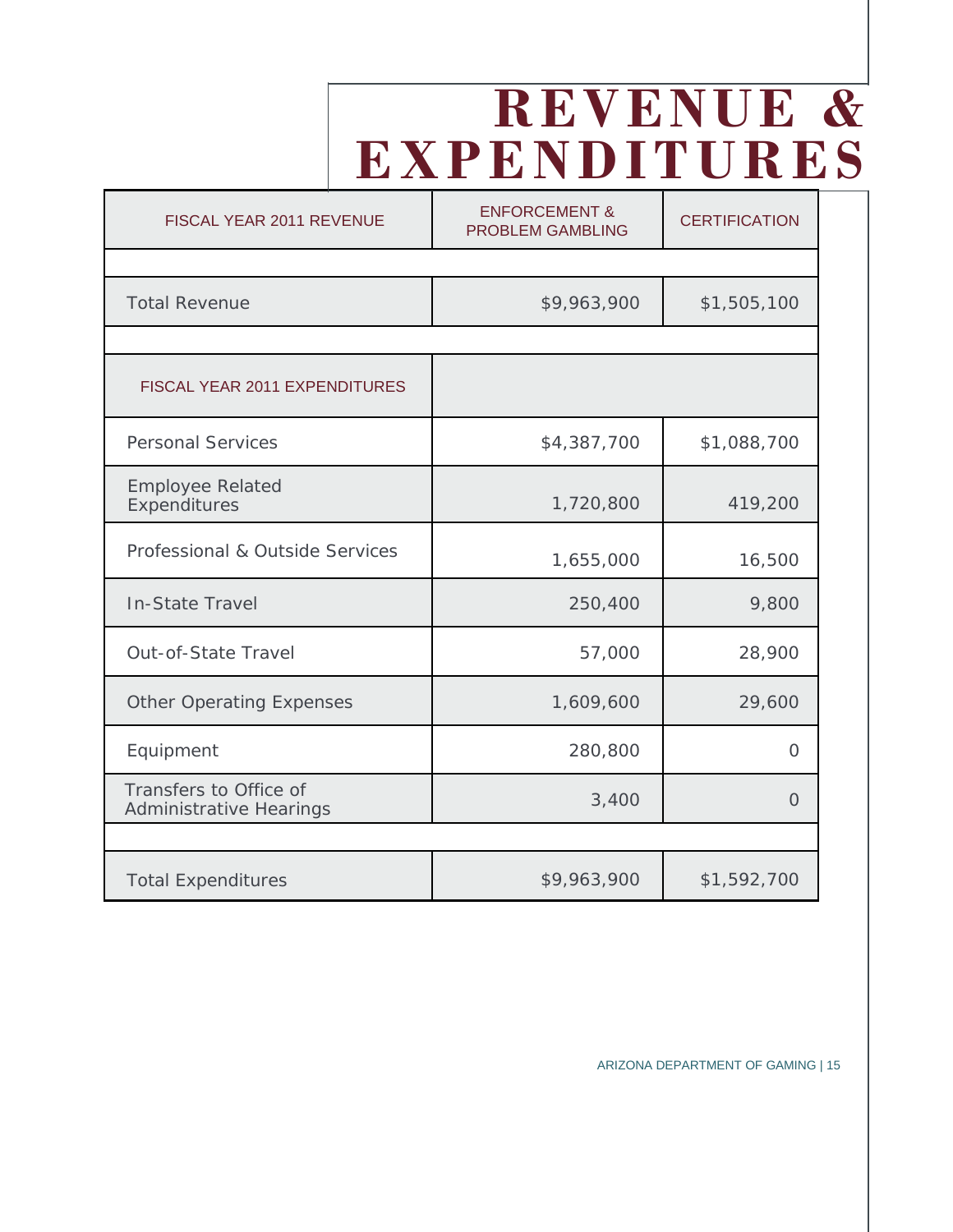## **REVENUE & EXPENDITURES**

| FISCAL YEAR 2011 REVENUE                                 | <b>ENFORCEMENT &amp;</b><br><b>PROBLEM GAMBLING</b> | <b>CERTIFICATION</b> |
|----------------------------------------------------------|-----------------------------------------------------|----------------------|
|                                                          |                                                     |                      |
| <b>Total Revenue</b>                                     | \$9,963,900                                         | \$1,505,100          |
|                                                          |                                                     |                      |
| FISCAL YEAR 2011 EXPENDITURES                            |                                                     |                      |
| <b>Personal Services</b>                                 | \$4,387,700                                         | \$1,088,700          |
| <b>Employee Related</b><br>Expenditures                  | 1,720,800                                           | 419,200              |
| Professional & Outside Services                          | 1,655,000                                           | 16,500               |
| <b>In-State Travel</b>                                   | 250,400                                             | 9,800                |
| <b>Out-of-State Travel</b>                               | 57,000                                              | 28,900               |
| <b>Other Operating Expenses</b>                          | 1,609,600                                           | 29,600               |
| Equipment                                                | 280,800                                             | $\overline{O}$       |
| Transfers to Office of<br><b>Administrative Hearings</b> | 3,400                                               | $\Omega$             |
|                                                          |                                                     |                      |
| <b>Total Expenditures</b>                                | \$9,963,900                                         | \$1,592,700          |

ARIZONA DEPARTMENT OF GAMING | 15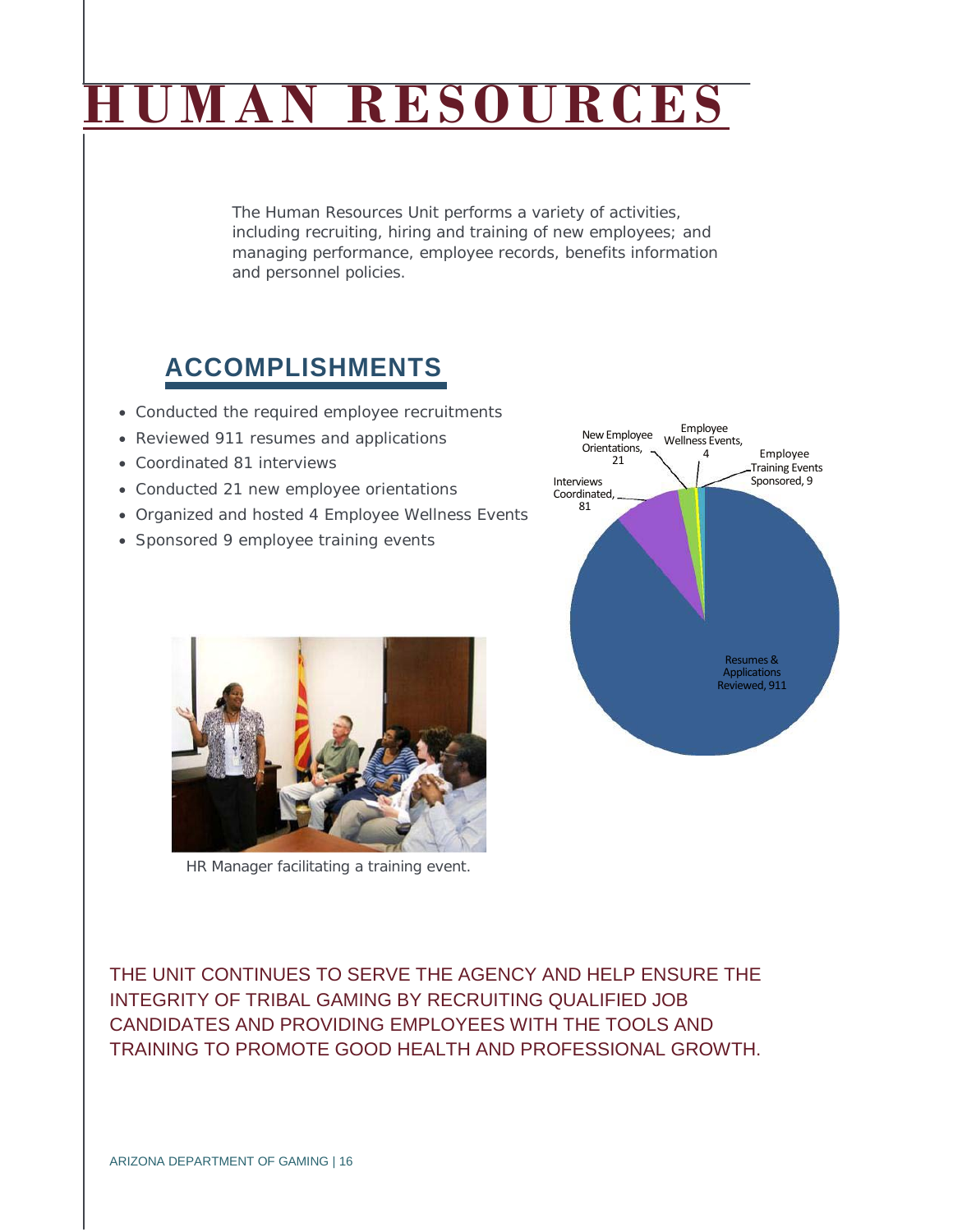# **AN RESOURCES**

The Human Resources Unit performs a variety of activities, including recruiting, hiring and training of new employees; and managing performance, employee records, benefits information and personnel policies.

### **ACCOMPLISHMENTS**

- Conducted the required employee recruitments
- Reviewed 911 resumes and applications
- Coordinated 81 interviews
- Conducted 21 new employee orientations
- Organized and hosted 4 Employee Wellness Events
- Sponsored 9 employee training events



HR Manager facilitating a training event.

THE UNIT CONTINUES TO SERVE THE AGENCY AND HELP ENSURE THE INTEGRITY OF TRIBAL GAMING BY RECRUITING QUALIFIED JOB CANDIDATES AND PROVIDING EMPLOYEES WITH THE TOOLS AND TRAINING TO PROMOTE GOOD HEALTH AND PROFESSIONAL GROWTH.

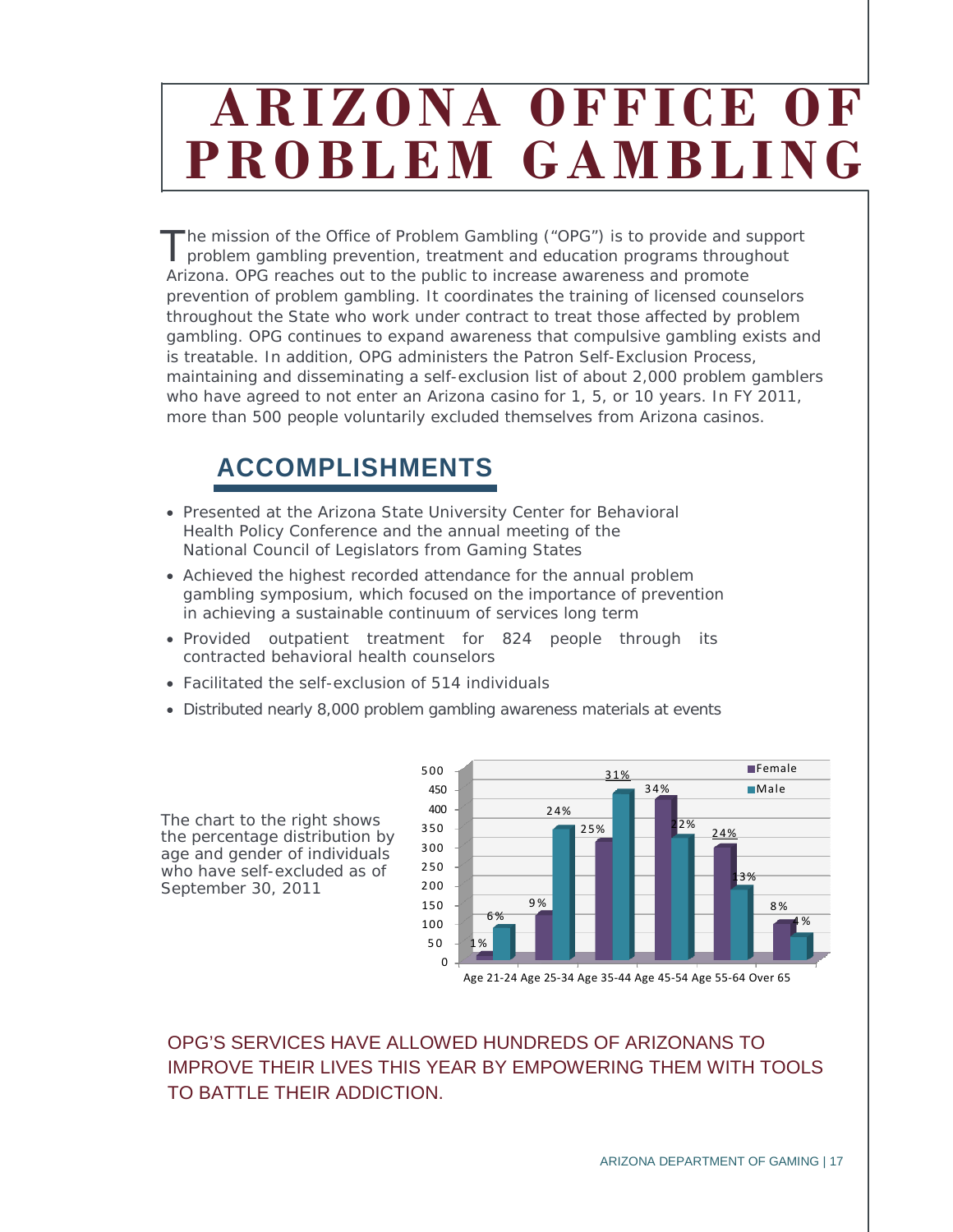## **ARIZONA OFFICE OF PROBLEM GAMBLING**

The mission of the Office of Problem Gambling ("OPG") is to provide and support problem gambling prevention, treatment and education programs throughout Arizona. OPG reaches out to the public to increase awareness and promote prevention of problem gambling. It coordinates the training of licensed counselors throughout the State who work under contract to treat those affected by problem gambling. OPG continues to expand awareness that compulsive gambling exists and is treatable. In addition, OPG administers the Patron Self-Exclusion Process, maintaining and disseminating a self-exclusion list of about 2,000 problem gamblers who have agreed to not enter an Arizona casino for 1, 5, or 10 years. In FY 2011, more than 500 people voluntarily excluded themselves from Arizona casinos. T

### **ACCOMPLISHMENTS**

- Presented at the Arizona State University Center for Behavioral Health Policy Conference and the annual meeting of the National Council of Legislators from Gaming States
- Achieved the highest recorded attendance for the annual problem gambling symposium, which focused on the importance of prevention in achieving a sustainable continuum of services long term
- Provided outpatient treatment for 824 people through its contracted behavioral health counselors
- Facilitated the self-exclusion of 514 individuals
- Distributed nearly 8,000 problem gambling awareness materials at events

The chart to the right shows the percentage distribution by age and gender of individuals who have self-excluded as of September 30, 2011



Age 21-24 Age 25-34 Age 35-44 Age 45-54 Age 55-64 Over 65

### OPG'S SERVICES HAVE ALLOWED HUNDREDS OF ARIZONANS TO IMPROVE THEIR LIVES THIS YEAR BY EMPOWERING THEM WITH TOOLS TO BATTLE THEIR ADDICTION.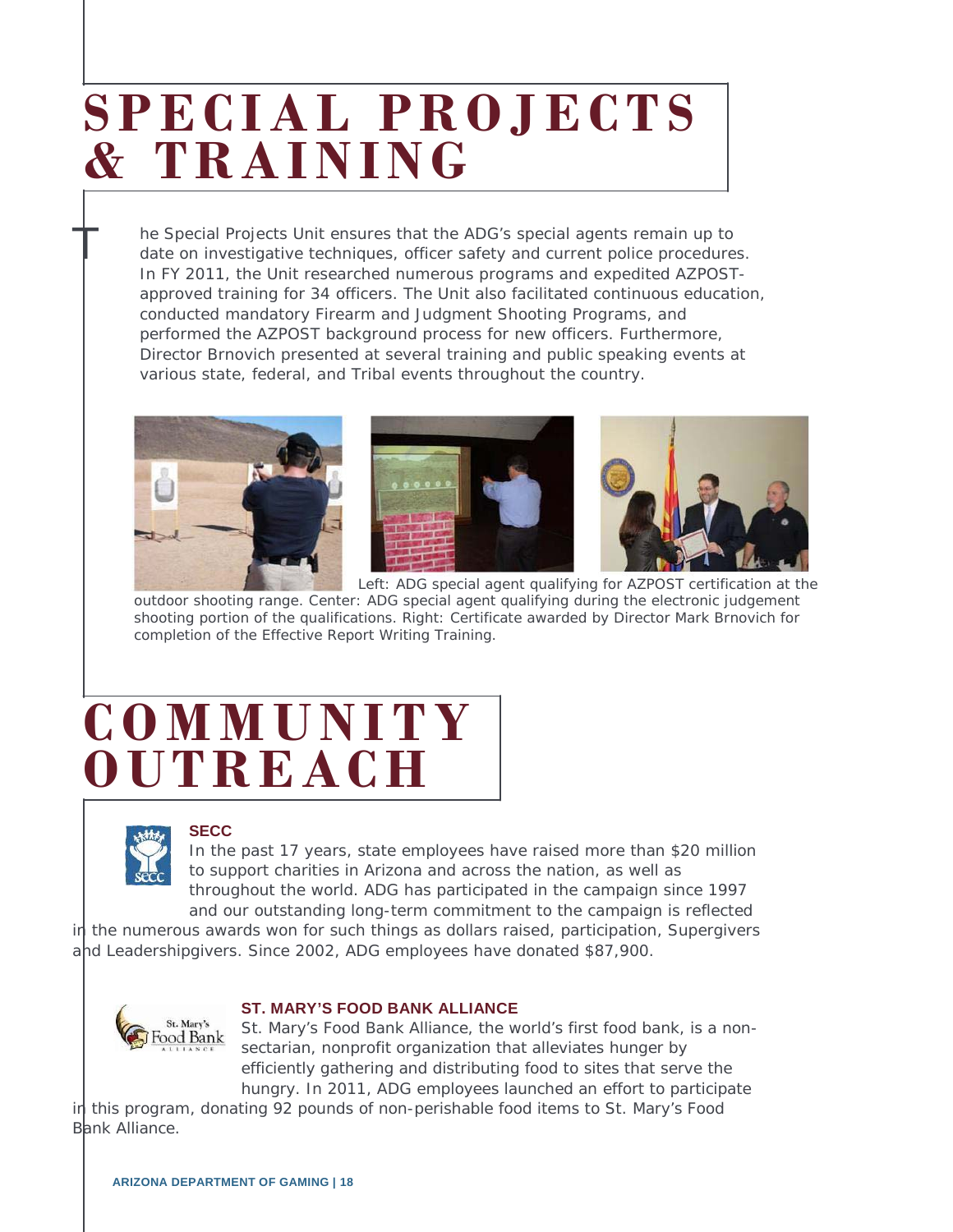## **SPECIAL PROJECTS & TRAINING**

he Special Projects Unit ensures that the ADG's special agents remain up to date on investigative techniques, officer safety and current police procedures. In FY 2011, the Unit researched numerous programs and expedited AZPOSTapproved training for 34 officers. The Unit also facilitated continuous education, conducted mandatory Firearm and Judgment Shooting Programs, and performed the AZPOST background process for new officers. Furthermore, Director Brnovich presented at several training and public speaking events at various state, federal, and Tribal events throughout the country.







Left: ADG special agent qualifying for AZPOST certification at the outdoor shooting range. Center: ADG special agent qualifying during the electronic judgement shooting portion of the qualifications. Right: Certificate awarded by Director Mark Brnovich for completion of the Effective Report Writing Training.

### **COMMUNITY OUTREACH**



T

### **SECC**

In the past 17 years, state employees have raised more than \$20 million to support charities in Arizona and across the nation, as well as throughout the world. ADG has participated in the campaign since 1997 and our outstanding long-term commitment to the campaign is reflected

in the numerous awards won for such things as dollars raised, participation, Supergivers and Leadershipgivers. Since 2002, ADG employees have donated \$87,900.



### **ST. MARY'S FOOD BANK ALLIANCE**

St. Mary's Food Bank Alliance, the world's first food bank, is a nonsectarian, nonprofit organization that alleviates hunger by efficiently gathering and distributing food to sites that serve the hungry. In 2011, ADG employees launched an effort to participate

in this program, donating 92 pounds of non-perishable food items to St. Mary's Food Bank Alliance.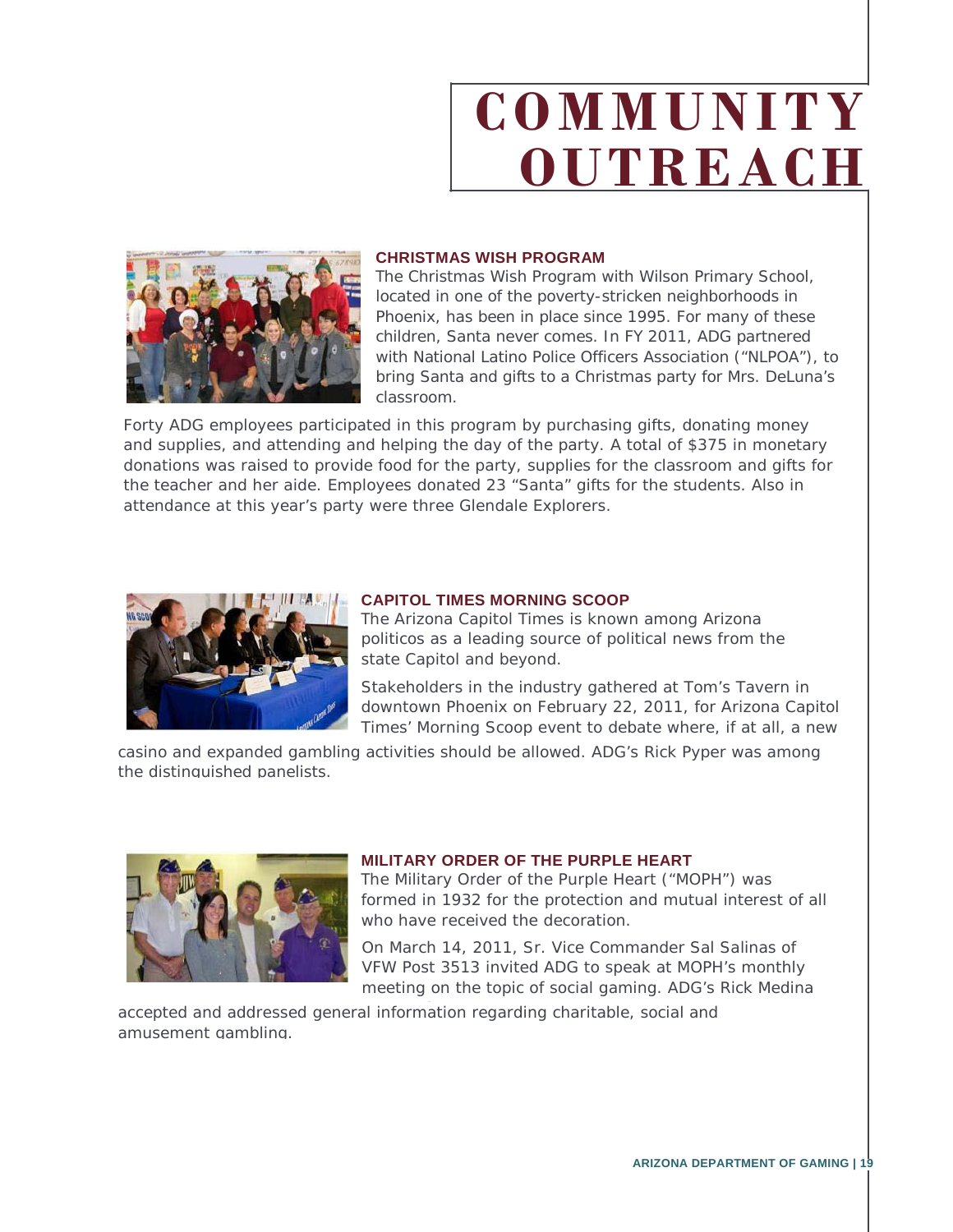# **COMMUNITY OUTREACH**



#### **CHRISTMAS WISH PROGRAM**

The Christmas Wish Program with Wilson Primary School, located in one of the poverty-stricken neighborhoods in Phoenix, has been in place since 1995. For many of these children, Santa never comes. In FY 2011, ADG partnered with National Latino Police Officers Association ("NLPOA"), to bring Santa and gifts to a Christmas party for Mrs. DeLuna's classroom.

Forty ADG employees participated in this program by purchasing gifts, donating money and supplies, and attending and helping the day of the party. A total of \$375 in monetary donations was raised to provide food for the party, supplies for the classroom and gifts for the teacher and her aide. Employees donated 23 "Santa" gifts for the students. Also in attendance at this year's party were three Glendale Explorers.



#### **CAPITOL TIMES MORNING SCOOP**

The Arizona Capitol Times is known among Arizona politicos as a leading source of political news from the state Capitol and beyond.

Stakeholders in the industry gathered at Tom's Tavern in downtown Phoenix on February 22, 2011, for Arizona Capitol Times' Morning Scoop event to debate where, if at all, a new

casino and expanded gambling activities should be allowed. ADG's Rick Pyper was among the distinguished panelists.



#### **MILITARY ORDER OF THE PURPLE HEART**

The Military Order of the Purple Heart ("MOPH") was formed in 1932 for the protection and mutual interest of all who have received the decoration

On March 14, 2011, Sr. Vice Commander Sal Salinas of VFW Post 3513 invited ADG to speak at MOPH's monthly meeting on the topic of social gaming. ADG's Rick Medina

accepted and addressed general information regarding charitable, social and l amusement gambling.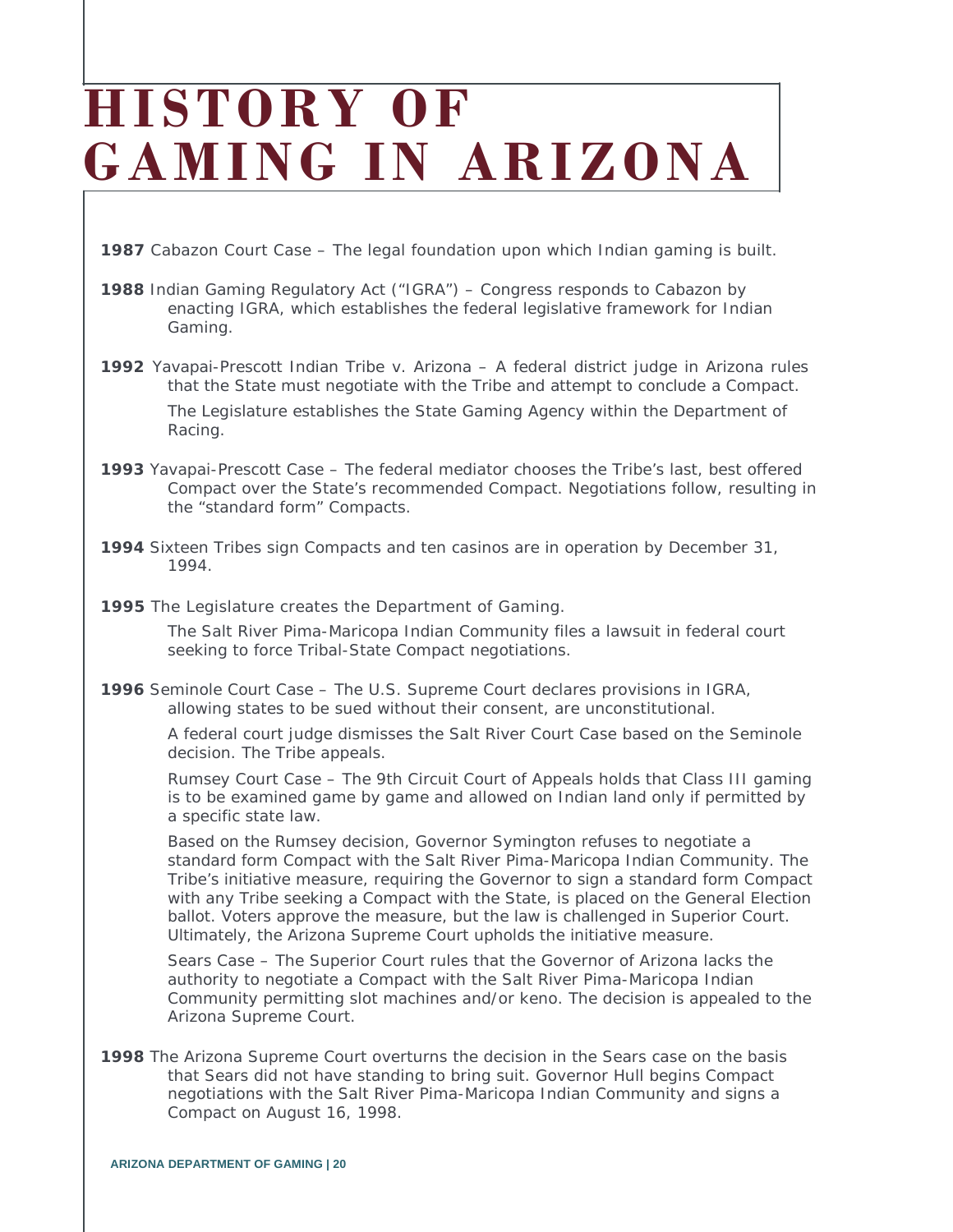## **HISTORY OF GAMING IN ARIZONA**

**1987** Cabazon Court Case – The legal foundation upon which Indian gaming is built.

- **1988** Indian Gaming Regulatory Act ("IGRA") Congress responds to Cabazon by enacting IGRA, which establishes the federal legislative framework for Indian Gaming.
- **1992** Yavapai-Prescott Indian Tribe v. Arizona A federal district judge in Arizona rules that the State must negotiate with the Tribe and attempt to conclude a Compact. The Legislature establishes the State Gaming Agency within the Department of Racing.
- **1993** Yavapai-Prescott Case The federal mediator chooses the Tribe's last, best offered Compact over the State's recommended Compact. Negotiations follow, resulting in the "standard form" Compacts.
- **1994** Sixteen Tribes sign Compacts and ten casinos are in operation by December 31, 1994.
- **1995** The Legislature creates the Department of Gaming.

The Salt River Pima-Maricopa Indian Community files a lawsuit in federal court seeking to force Tribal-State Compact negotiations.

**1996** Seminole Court Case – The U.S. Supreme Court declares provisions in IGRA, allowing states to be sued without their consent, are unconstitutional.

> A federal court judge dismisses the Salt River Court Case based on the Seminole decision. The Tribe appeals.

Rumsey Court Case – The 9th Circuit Court of Appeals holds that Class III gaming is to be examined game by game and allowed on Indian land only if permitted by a specific state law.

Based on the Rumsey decision, Governor Symington refuses to negotiate a standard form Compact with the Salt River Pima-Maricopa Indian Community. The Tribe's initiative measure, requiring the Governor to sign a standard form Compact with any Tribe seeking a Compact with the State, is placed on the General Election ballot. Voters approve the measure, but the law is challenged in Superior Court. Ultimately, the Arizona Supreme Court upholds the initiative measure.

Sears Case – The Superior Court rules that the Governor of Arizona lacks the authority to negotiate a Compact with the Salt River Pima-Maricopa Indian Community permitting slot machines and/or keno. The decision is appealed to the Arizona Supreme Court.

**1998** The Arizona Supreme Court overturns the decision in the Sears case on the basis that Sears did not have standing to bring suit. Governor Hull begins Compact negotiations with the Salt River Pima-Maricopa Indian Community and signs a Compact on August 16, 1998.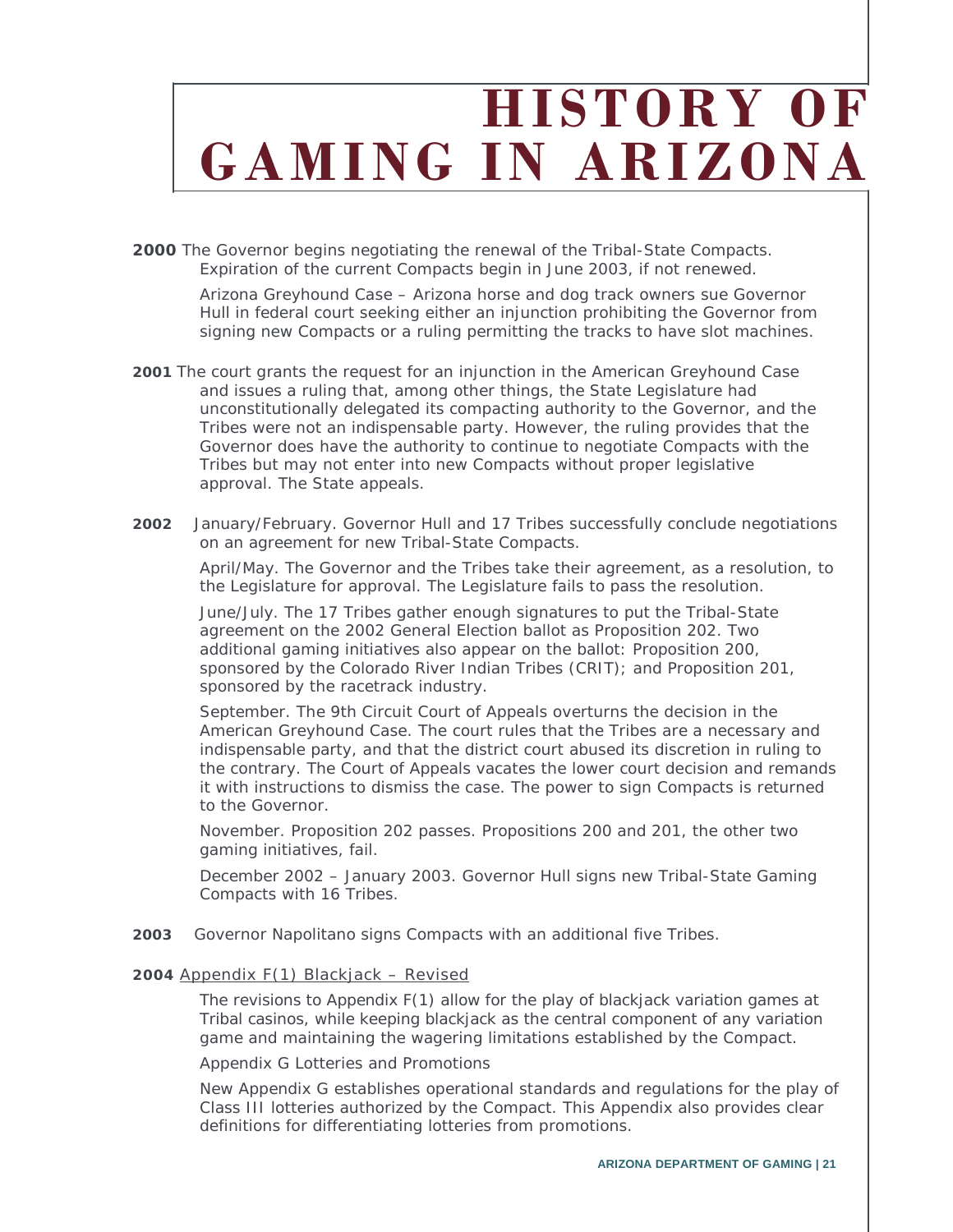## **HISTORY OF GAMING IN ARIZONA**

**2000** The Governor begins negotiating the renewal of the Tribal-State Compacts. Expiration of the current Compacts begin in June 2003, if not renewed.

> Arizona Greyhound Case – Arizona horse and dog track owners sue Governor Hull in federal court seeking either an injunction prohibiting the Governor from signing new Compacts or a ruling permitting the tracks to have slot machines.

- **2001** The court grants the request for an injunction in the American Greyhound Case and issues a ruling that, among other things, the State Legislature had unconstitutionally delegated its compacting authority to the Governor, and the Tribes were not an indispensable party. However, the ruling provides that the Governor does have the authority to continue to negotiate Compacts with the Tribes but may not enter into new Compacts without proper legislative approval. The State appeals.
- **2002** January/February. Governor Hull and 17 Tribes successfully conclude negotiations on an agreement for new Tribal-State Compacts.

April/May. The Governor and the Tribes take their agreement, as a resolution, to the Legislature for approval. The Legislature fails to pass the resolution.

June/July. The 17 Tribes gather enough signatures to put the Tribal-State agreement on the 2002 General Election ballot as Proposition 202. Two additional gaming initiatives also appear on the ballot: Proposition 200, sponsored by the Colorado River Indian Tribes (CRIT); and Proposition 201, sponsored by the racetrack industry.

September. The 9th Circuit Court of Appeals overturns the decision in the American Greyhound Case. The court rules that the Tribes are a necessary and indispensable party, and that the district court abused its discretion in ruling to the contrary. The Court of Appeals vacates the lower court decision and remands it with instructions to dismiss the case. The power to sign Compacts is returned to the Governor.

November. Proposition 202 passes. Propositions 200 and 201, the other two gaming initiatives, fail.

December 2002 – January 2003. Governor Hull signs new Tribal-State Gaming Compacts with 16 Tribes.

**2003** Governor Napolitano signs Compacts with an additional five Tribes.

#### **2004** Appendix F(1) Blackjack – Revised

The revisions to Appendix F(1) allow for the play of blackjack variation games at Tribal casinos, while keeping blackjack as the central component of any variation game and maintaining the wagering limitations established by the Compact.

Appendix G Lotteries and Promotions

New Appendix G establishes operational standards and regulations for the play of Class III lotteries authorized by the Compact. This Appendix also provides clear definitions for differentiating lotteries from promotions.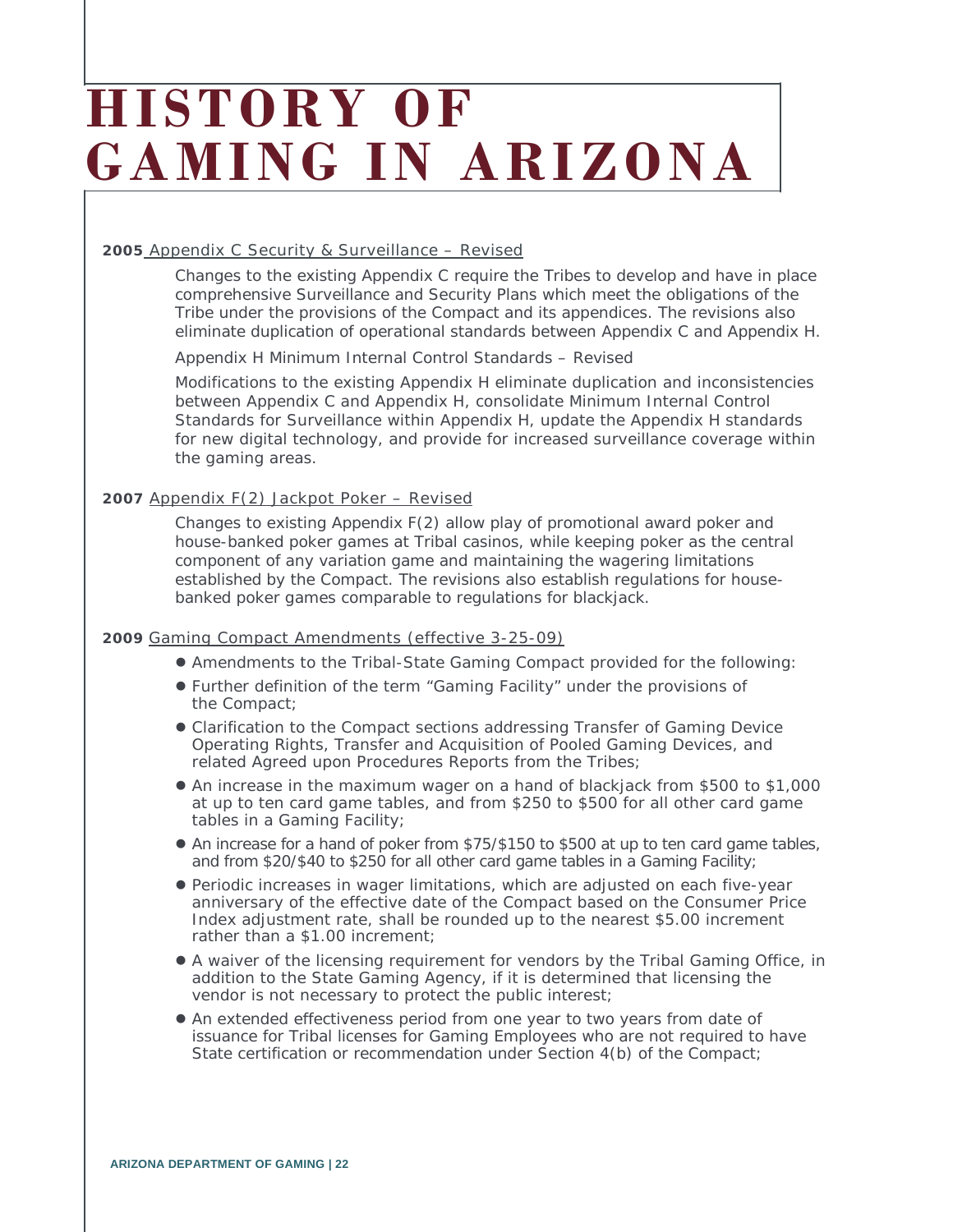## **HISTORY OF G AMING IN ARIZONA**

#### **2005** Appendix C Security & Surveillance – Revised

Changes to the existing Appendix C require the Tribes to develop and have in place comprehensive Surveillance and Security Plans which meet the obligations of the Tribe under the provisions of the Compact and its appendices. The revisions also eliminate duplication of operational standards between Appendix C and Appendix H.

Appendix H Minimum Internal Control Standards – Revised

Modifications to the existing Appendix H eliminate duplication and inconsistencies between Appendix C and Appendix H, consolidate Minimum Internal Control Standards for Surveillance within Appendix H, update the Appendix H standards for new digital technology, and provide for increased surveillance coverage within the gaming areas.

#### **2007** Appendix F(2) Jackpot Poker – Revised

Changes to existing Appendix F(2) allow play of promotional award poker and house-banked poker games at Tribal casinos, while keeping poker as the central component of any variation game and maintaining the wagering limitations established by the Compact. The revisions also establish regulations for housebanked poker games comparable to regulations for blackjack.

#### **2009** Gaming Compact Amendments (effective 3-25-09)

- Amendments to the Tribal-State Gaming Compact provided for the following:
- Further definition of the term "Gaming Facility" under the provisions of the Compact;
- Clarification to the Compact sections addressing Transfer of Gaming Device Operating Rights, Transfer and Acquisition of Pooled Gaming Devices, and related Agreed upon Procedures Reports from the Tribes;
- An increase in the maximum wager on a hand of blackjack from \$500 to \$1,000 at up to ten card game tables, and from \$250 to \$500 for all other card game tables in a Gaming Facility;
- An increase for a hand of poker from \$75/\$150 to \$500 at up to ten card game tables, and from \$20/\$40 to \$250 for all other card game tables in a Gaming Facility;
- Periodic increases in wager limitations, which are adjusted on each five-year anniversary of the effective date of the Compact based on the Consumer Price Index adjustment rate, shall be rounded up to the nearest \$5.00 increment rather than a \$1.00 increment;
- A waiver of the licensing requirement for vendors by the Tribal Gaming Office, in addition to the State Gaming Agency, if it is determined that licensing the vendor is not necessary to protect the public interest;
- An extended effectiveness period from one year to two years from date of issuance for Tribal licenses for Gaming Employees who are not required to have State certification or recommendation under Section 4(b) of the Compact;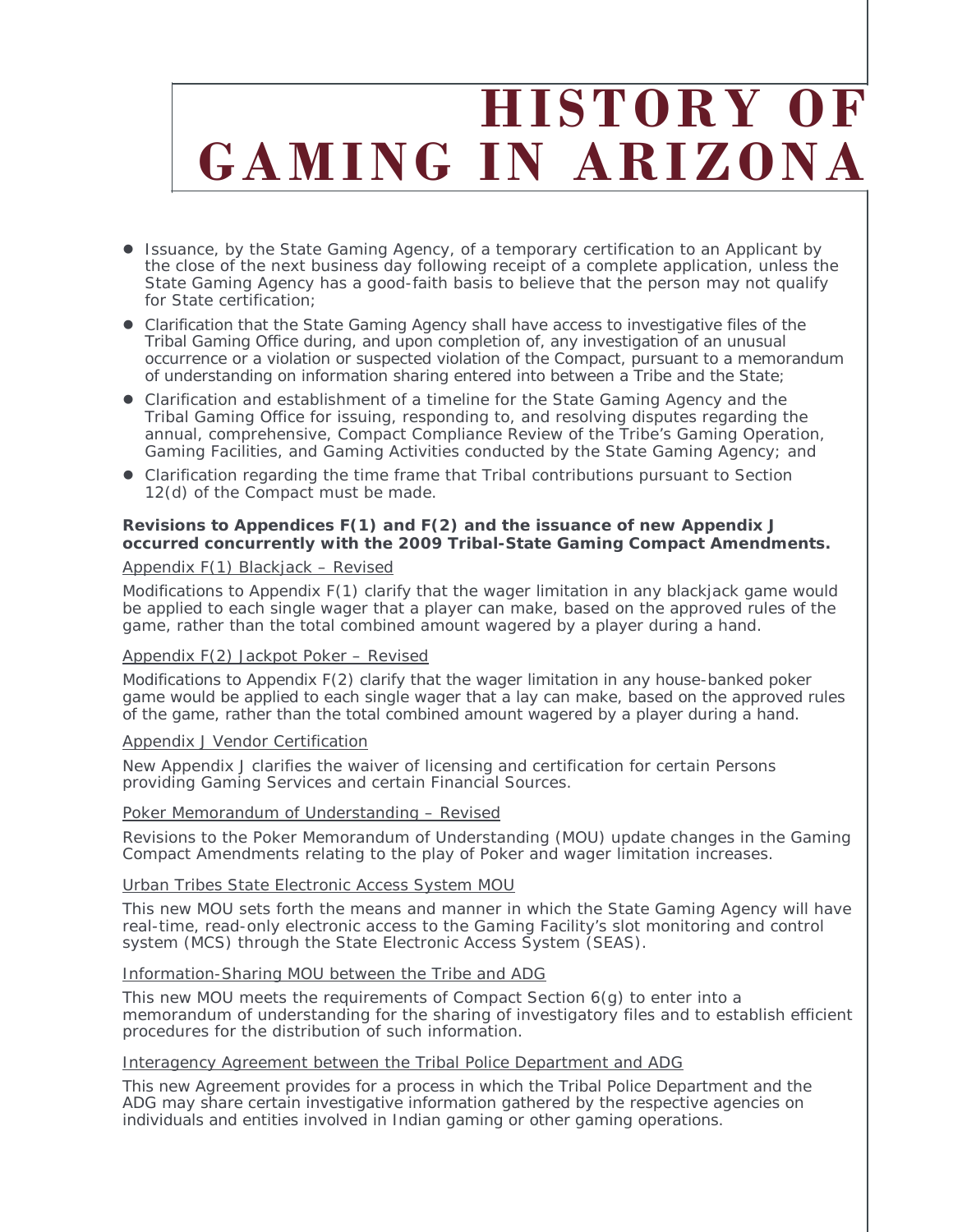## **HISTORY OF GAMING IN ARIZONA**

- Issuance, by the State Gaming Agency, of a temporary certification to an Applicant by the close of the next business day following receipt of a complete application, unless the State Gaming Agency has a good-faith basis to believe that the person may not qualify for State certification;
- Clarification that the State Gaming Agency shall have access to investigative files of the Tribal Gaming Office during, and upon completion of, any investigation of an unusual occurrence or a violation or suspected violation of the Compact, pursuant to a memorandum of understanding on information sharing entered into between a Tribe and the State;
- Clarification and establishment of a timeline for the State Gaming Agency and the Tribal Gaming Office for issuing, responding to, and resolving disputes regarding the annual, comprehensive, Compact Compliance Review of the Tribe's Gaming Operation, Gaming Facilities, and Gaming Activities conducted by the State Gaming Agency; and
- Clarification regarding the time frame that Tribal contributions pursuant to Section 12(d) of the Compact must be made.

#### **Revisions to Appendices F(1) and F(2) and the issuance of new Appendix J occurred concurrently with the 2009 Tribal-State Gaming Compact Amendments.**

#### Appendix F(1) Blackjack – Revised

Modifications to Appendix F(1) clarify that the wager limitation in any blackjack game would be applied to each single wager that a player can make, based on the approved rules of the game, rather than the total combined amount wagered by a player during a hand.

#### Appendix F(2) Jackpot Poker – Revised

Modifications to Appendix F(2) clarify that the wager limitation in any house-banked poker game would be applied to each single wager that a lay can make, based on the approved rules of the game, rather than the total combined amount wagered by a player during a hand.

#### Appendix J Vendor Certification

New Appendix J clarifies the waiver of licensing and certification for certain Persons providing Gaming Services and certain Financial Sources.

#### Poker Memorandum of Understanding – Revised

Revisions to the Poker Memorandum of Understanding (MOU) update changes in the Gaming Compact Amendments relating to the play of Poker and wager limitation increases.

#### Urban Tribes State Electronic Access System MOU

This new MOU sets forth the means and manner in which the State Gaming Agency will have real-time, read-only electronic access to the Gaming Facility's slot monitoring and control system (MCS) through the State Electronic Access System (SEAS).

#### Information-Sharing MOU between the Tribe and ADG

This new MOU meets the requirements of Compact Section 6(g) to enter into a memorandum of understanding for the sharing of investigatory files and to establish efficient procedures for the distribution of such information.

#### Interagency Agreement between the Tribal Police Department and ADG

This new Agreement provides for a process in which the Tribal Police Department and the ADG may share certain investigative information gathered by the respective agencies on individuals and entities involved in Indian gaming or other gaming operations.